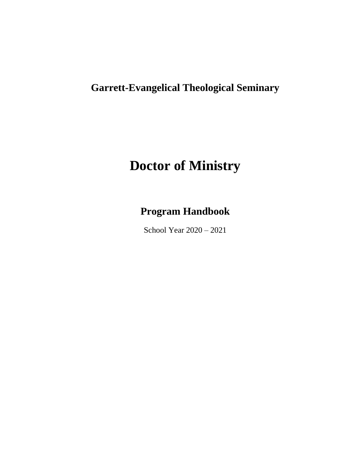# **Garrett-Evangelical Theological Seminary**

# **Doctor of Ministry**

# **Program Handbook**

School Year 2020 – 2021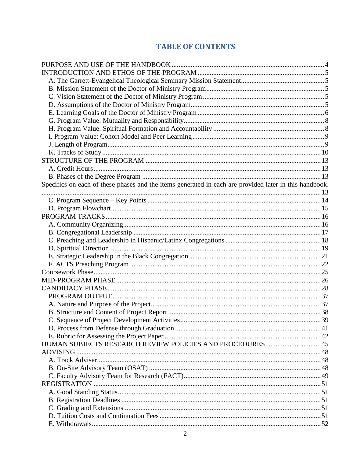# **TABLE OF CONTENTS**

| Specifics on each of these phases and the items generated in each are provided later in this handbook. |  |
|--------------------------------------------------------------------------------------------------------|--|
|                                                                                                        |  |
|                                                                                                        |  |
|                                                                                                        |  |
|                                                                                                        |  |
|                                                                                                        |  |
|                                                                                                        |  |
|                                                                                                        |  |
|                                                                                                        |  |
|                                                                                                        |  |
|                                                                                                        |  |
|                                                                                                        |  |
|                                                                                                        |  |
|                                                                                                        |  |
|                                                                                                        |  |
|                                                                                                        |  |
|                                                                                                        |  |
|                                                                                                        |  |
|                                                                                                        |  |
|                                                                                                        |  |
| HUMAN SUBJECTS RESEARCH REVIEW POLICIES AND PROCEDURES 45                                              |  |
|                                                                                                        |  |
|                                                                                                        |  |
|                                                                                                        |  |
|                                                                                                        |  |
|                                                                                                        |  |
|                                                                                                        |  |
|                                                                                                        |  |
|                                                                                                        |  |
|                                                                                                        |  |
|                                                                                                        |  |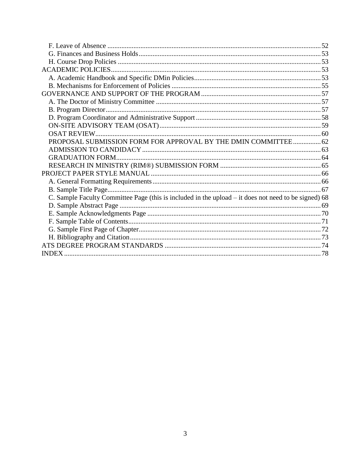| PROPOSAL SUBMISSION FORM FOR APPROVAL BY THE DMIN COMMITTEE 62                                       |  |
|------------------------------------------------------------------------------------------------------|--|
|                                                                                                      |  |
|                                                                                                      |  |
|                                                                                                      |  |
|                                                                                                      |  |
|                                                                                                      |  |
|                                                                                                      |  |
| C. Sample Faculty Committee Page (this is included in the upload - it does not need to be signed) 68 |  |
|                                                                                                      |  |
|                                                                                                      |  |
|                                                                                                      |  |
|                                                                                                      |  |
|                                                                                                      |  |
|                                                                                                      |  |
|                                                                                                      |  |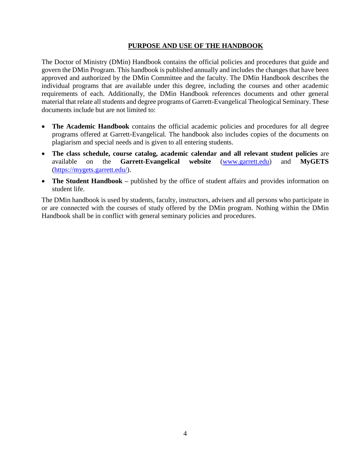### **PURPOSE AND USE OF THE HANDBOOK**

<span id="page-3-0"></span>The Doctor of Ministry (DMin) Handbook contains the official policies and procedures that guide and govern the DMin Program. This handbook is published annually and includes the changes that have been approved and authorized by the DMin Committee and the faculty. The DMin Handbook describes the individual programs that are available under this degree, including the courses and other academic requirements of each. Additionally, the DMin Handbook references documents and other general material that relate all students and degree programs of Garrett-Evangelical Theological Seminary. These documents include but are not limited to:

- **The Academic Handbook** contains the official academic policies and procedures for all degree programs offered at Garrett-Evangelical. The handbook also includes copies of the documents on plagiarism and special needs and is given to all entering students.
- **The class schedule, course catalog, academic calendar and all relevant student policies** are available on the **Garrett-Evangelical website** [\(www.garrett.edu\)](http://www.garrett.edu/) and **MyGETS**  [\(https://mygets.garrett.edu/\)](https://mygets.garrett.edu/).
- **The Student Handbook –** published by the office of student affairs and provides information on student life.

The DMin handbook is used by students, faculty, instructors, advisers and all persons who participate in or are connected with the courses of study offered by the DMin program. Nothing within the DMin Handbook shall be in conflict with general seminary policies and procedures.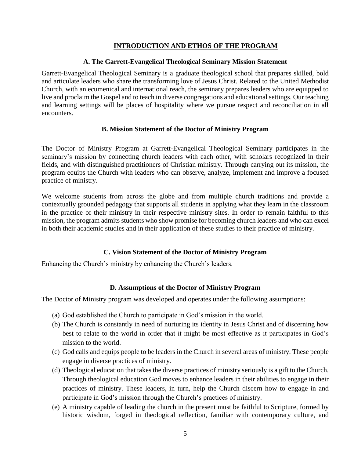### **INTRODUCTION AND ETHOS OF THE PROGRAM**

### **A. The Garrett-Evangelical Theological Seminary Mission Statement**

<span id="page-4-1"></span><span id="page-4-0"></span>Garrett-Evangelical Theological Seminary is a graduate theological school that prepares skilled, bold and articulate leaders who share the transforming love of Jesus Christ. Related to the United Methodist Church, with an ecumenical and international reach, the seminary prepares leaders who are equipped to live and proclaim the Gospel and to teach in diverse congregations and educational settings. Our teaching and learning settings will be places of hospitality where we pursue respect and reconciliation in all encounters.

### **B. Mission Statement of the Doctor of Ministry Program**

<span id="page-4-2"></span>The Doctor of Ministry Program at Garrett-Evangelical Theological Seminary participates in the seminary's mission by connecting church leaders with each other, with scholars recognized in their fields, and with distinguished practitioners of Christian ministry. Through carrying out its mission, the program equips the Church with leaders who can observe, analyze, implement and improve a focused practice of ministry.

We welcome students from across the globe and from multiple church traditions and provide a contextually grounded pedagogy that supports all students in applying what they learn in the classroom in the practice of their ministry in their respective ministry sites. In order to remain faithful to this mission, the program admits students who show promise for becoming church leaders and who can excel in both their academic studies and in their application of these studies to their practice of ministry.

### **C. Vision Statement of the Doctor of Ministry Program**

<span id="page-4-3"></span>Enhancing the Church's ministry by enhancing the Church's leaders.

### **D. Assumptions of the Doctor of Ministry Program**

<span id="page-4-4"></span>The Doctor of Ministry program was developed and operates under the following assumptions:

- (a) God established the Church to participate in God's mission in the world.
- (b) The Church is constantly in need of nurturing its identity in Jesus Christ and of discerning how best to relate to the world in order that it might be most effective as it participates in God's mission to the world.
- (c) God calls and equips people to be leaders in the Church in several areas of ministry. These people engage in diverse practices of ministry.
- (d) Theological education that takes the diverse practices of ministry seriously is a gift to the Church. Through theological education God moves to enhance leaders in their abilities to engage in their practices of ministry. These leaders, in turn, help the Church discern how to engage in and participate in God's mission through the Church's practices of ministry.
- (e) A ministry capable of leading the church in the present must be faithful to Scripture, formed by historic wisdom, forged in theological reflection, familiar with contemporary culture, and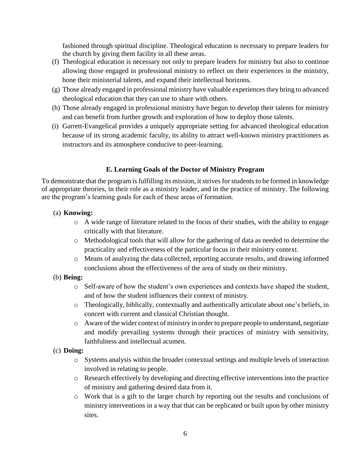fashioned through spiritual discipline. Theological education is necessary to prepare leaders for the church by giving them facility in all these areas.

- (f) Theological education is necessary not only to prepare leaders for ministry but also to continue allowing those engaged in professional ministry to reflect on their experiences in the ministry, hone their ministerial talents, and expand their intellectual horizons.
- (g) Those already engaged in professional ministry have valuable experiences they bring to advanced theological education that they can use to share with others.
- (h) Those already engaged in professional ministry have begun to develop their talents for ministry and can benefit from further growth and exploration of how to deploy those talents.
- (i) Garrett-Evangelical provides a uniquely appropriate setting for advanced theological education because of its strong academic faculty, its ability to attract well-known ministry practitioners as instructors and its atmosphere conducive to peer-learning.

# **E. Learning Goals of the Doctor of Ministry Program**

<span id="page-5-0"></span>To demonstrate that the program is fulfilling its mission, it strives for students to be formed in knowledge of appropriate theories, in their role as a ministry leader, and in the practice of ministry. The following are the program's learning goals for each of these areas of formation.

# (a) **Knowing:**

- o A wide range of literature related to the focus of their studies, with the ability to engage critically with that literature.
- o Methodological tools that will allow for the gathering of data as needed to determine the practicality and effectiveness of the particular focus in their ministry context.
- o Means of analyzing the data collected, reporting accurate results, and drawing informed conclusions about the effectiveness of the area of study on their ministry.

# (b) **Being:**

- o Self-aware of how the student's own experiences and contexts have shaped the student, and of how the student influences their context of ministry.
- o Theologically, biblically, contextually and authentically articulate about one's beliefs, in concert with current and classical Christian thought.
- o Aware of the wider context of ministry in order to prepare people to understand, negotiate and modify prevailing systems through their practices of ministry with sensitivity, faithfulness and intellectual acumen.

# (c) **Doing:**

- o Systems analysis within the broader contextual settings and multiple levels of interaction involved in relating to people.
- o Research effectively by developing and directing effective interventions into the practice of ministry and gathering desired data from it.
- o Work that is a gift to the larger church by reporting out the results and conclusions of ministry interventions in a way that that can be replicated or built upon by other ministry sites.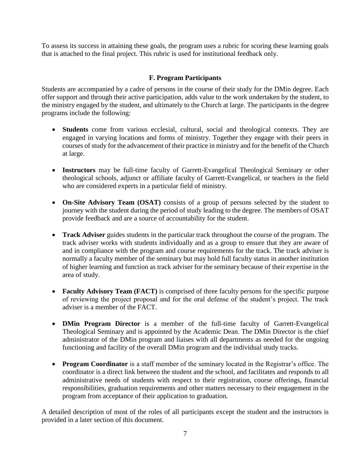To assess its success in attaining these goals, the program uses a rubric for scoring these learning goals that is attached to the final project. This rubric is used for institutional feedback only.

# **F. Program Participants**

Students are accompanied by a cadre of persons in the course of their study for the DMin degree. Each offer support and through their active participation, adds value to the work undertaken by the student, to the ministry engaged by the student, and ultimately to the Church at large. The participants in the degree programs include the following:

- **Students** come from various ecclesial, cultural, social and theological contexts. They are engaged in varying locations and forms of ministry. Together they engage with their peers in courses of study for the advancement of their practice in ministry and for the benefit of the Church at large.
- **Instructors** may be full-time faculty of Garrett-Evangelical Theological Seminary or other theological schools, adjunct or affiliate faculty of Garrett-Evangelical, or teachers in the field who are considered experts in a particular field of ministry.
- **On-Site Advisory Team (OSAT)** consists of a group of persons selected by the student to journey with the student during the period of study leading to the degree. The members of OSAT provide feedback and are a source of accountability for the student.
- **Track Adviser** guides students in the particular track throughout the course of the program. The track adviser works with students individually and as a group to ensure that they are aware of and in compliance with the program and course requirements for the track. The track adviser is normally a faculty member of the seminary but may hold full faculty status in another institution of higher learning and function as track adviser for the seminary because of their expertise in the area of study.
- **Faculty Advisory Team (FACT)** is comprised of three faculty persons for the specific purpose of reviewing the project proposal and for the oral defense of the student's project. The track adviser is a member of the FACT.
- **DMin Program Director** is a member of the full-time faculty of Garrett-Evangelical Theological Seminary and is appointed by the Academic Dean. The DMin Director is the chief administrator of the DMin program and liaises with all departments as needed for the ongoing functioning and facility of the overall DMin program and the individual study tracks.
- **Program Coordinator** is a staff member of the seminary located in the Registrar's office. The coordinator is a direct link between the student and the school, and facilitates and responds to all administrative needs of students with respect to their registration, course offerings, financial responsibilities, graduation requirements and other matters necessary to their engagement in the program from acceptance of their application to graduation.

A detailed description of most of the roles of all participants except the student and the instructors is provided in a later section of this document.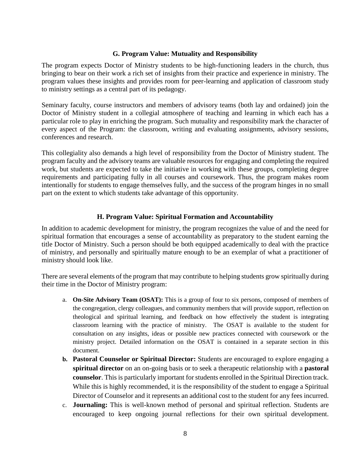### **G. Program Value: Mutuality and Responsibility**

<span id="page-7-0"></span>The program expects Doctor of Ministry students to be high-functioning leaders in the church, thus bringing to bear on their work a rich set of insights from their practice and experience in ministry. The program values these insights and provides room for peer-learning and application of classroom study to ministry settings as a central part of its pedagogy.

Seminary faculty, course instructors and members of advisory teams (both lay and ordained) join the Doctor of Ministry student in a collegial atmosphere of teaching and learning in which each has a particular role to play in enriching the program. Such mutuality and responsibility mark the character of every aspect of the Program: the classroom, writing and evaluating assignments, advisory sessions, conferences and research.

This collegiality also demands a high level of responsibility from the Doctor of Ministry student. The program faculty and the advisory teams are valuable resources for engaging and completing the required work, but students are expected to take the initiative in working with these groups, completing degree requirements and participating fully in all courses and coursework. Thus, the program makes room intentionally for students to engage themselves fully, and the success of the program hinges in no small part on the extent to which students take advantage of this opportunity.

# **H. Program Value: Spiritual Formation and Accountability**

<span id="page-7-1"></span>In addition to academic development for ministry, the program recognizes the value of and the need for spiritual formation that encourages a sense of accountability as preparatory to the student earning the title Doctor of Ministry. Such a person should be both equipped academically to deal with the practice of ministry, and personally and spiritually mature enough to be an exemplar of what a practitioner of ministry should look like.

There are several elements of the program that may contribute to helping students grow spiritually during their time in the Doctor of Ministry program:

- a. **On-Site Advisory Team (OSAT):** This is a group of four to six persons, composed of members of the congregation, clergy colleagues, and community members that will provide support, reflection on theological and spiritual learning, and feedback on how effectively the student is integrating classroom learning with the practice of ministry. The OSAT is available to the student for consultation on any insights, ideas or possible new practices connected with coursework or the ministry project. Detailed information on the OSAT is contained in a separate section in this document.
- **b. Pastoral Counselor or Spiritual Director:** Students are encouraged to explore engaging a **spiritual director** on an on-going basis or to seek a therapeutic relationship with a **pastoral counselor**. This is particularly important for students enrolled in the Spiritual Direction track. While this is highly recommended, it is the responsibility of the student to engage a Spiritual Director of Counselor and it represents an additional cost to the student for any fees incurred.
- c. **Journaling:** This is well-known method of personal and spiritual reflection. Students are encouraged to keep ongoing journal reflections for their own spiritual development.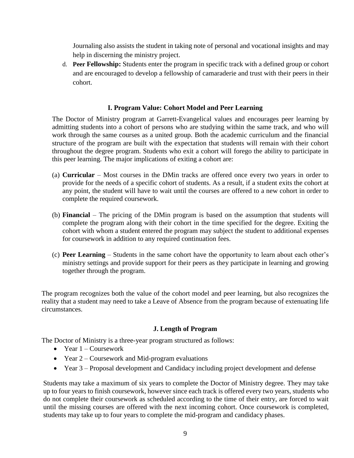Journaling also assists the student in taking note of personal and vocational insights and may help in discerning the ministry project.

d. **Peer Fellowship:** Students enter the program in specific track with a defined group or cohort and are encouraged to develop a fellowship of camaraderie and trust with their peers in their cohort.

### **I. Program Value: Cohort Model and Peer Learning**

<span id="page-8-0"></span>The Doctor of Ministry program at Garrett-Evangelical values and encourages peer learning by admitting students into a cohort of persons who are studying within the same track, and who will work through the same courses as a united group. Both the academic curriculum and the financial structure of the program are built with the expectation that students will remain with their cohort throughout the degree program. Students who exit a cohort will forego the ability to participate in this peer learning. The major implications of exiting a cohort are:

- (a) **Curricular** Most courses in the DMin tracks are offered once every two years in order to provide for the needs of a specific cohort of students. As a result, if a student exits the cohort at any point, the student will have to wait until the courses are offered to a new cohort in order to complete the required coursework.
- (b) **Financial** The pricing of the DMin program is based on the assumption that students will complete the program along with their cohort in the time specified for the degree. Exiting the cohort with whom a student entered the program may subject the student to additional expenses for coursework in addition to any required continuation fees.
- (c) **Peer Learning** Students in the same cohort have the opportunity to learn about each other's ministry settings and provide support for their peers as they participate in learning and growing together through the program.

The program recognizes both the value of the cohort model and peer learning, but also recognizes the reality that a student may need to take a Leave of Absence from the program because of extenuating life circumstances.

### **J. Length of Program**

<span id="page-8-1"></span>The Doctor of Ministry is a three-year program structured as follows:

- Year  $1 -$ Coursework
- Year 2 Coursework and Mid-program evaluations
- Year 3 Proposal development and Candidacy including project development and defense

Students may take a maximum of six years to complete the Doctor of Ministry degree. They may take up to four years to finish coursework, however since each track is offered every two years, students who do not complete their coursework as scheduled according to the time of their entry, are forced to wait until the missing courses are offered with the next incoming cohort. Once coursework is completed, students may take up to four years to complete the mid-program and candidacy phases.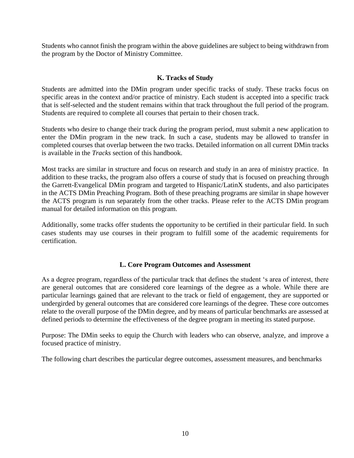Students who cannot finish the program within the above guidelines are subject to being withdrawn from the program by the Doctor of Ministry Committee.

# **K. Tracks of Study**

<span id="page-9-0"></span>Students are admitted into the DMin program under specific tracks of study. These tracks focus on specific areas in the context and/or practice of ministry. Each student is accepted into a specific track that is self-selected and the student remains within that track throughout the full period of the program. Students are required to complete all courses that pertain to their chosen track.

Students who desire to change their track during the program period, must submit a new application to enter the DMin program in the new track. In such a case, students may be allowed to transfer in completed courses that overlap between the two tracks. Detailed information on all current DMin tracks is available in the *Tracks* section of this handbook.

Most tracks are similar in structure and focus on research and study in an area of ministry practice. In addition to these tracks, the program also offers a course of study that is focused on preaching through the Garrett-Evangelical DMin program and targeted to Hispanic/LatinX students, and also participates in the ACTS DMin Preaching Program. Both of these preaching programs are similar in shape however the ACTS program is run separately from the other tracks. Please refer to the ACTS DMin program manual for detailed information on this program.

Additionally, some tracks offer students the opportunity to be certified in their particular field. In such cases students may use courses in their program to fulfill some of the academic requirements for certification.

### **L. Core Program Outcomes and Assessment**

As a degree program, regardless of the particular track that defines the student 's area of interest, there are general outcomes that are considered core learnings of the degree as a whole. While there are particular learnings gained that are relevant to the track or field of engagement, they are supported or undergirded by general outcomes that are considered core learnings of the degree. These core outcomes relate to the overall purpose of the DMin degree, and by means of particular benchmarks are assessed at defined periods to determine the effectiveness of the degree program in meeting its stated purpose.

Purpose: The DMin seeks to equip the Church with leaders who can observe, analyze, and improve a focused practice of ministry.

The following chart describes the particular degree outcomes, assessment measures, and benchmarks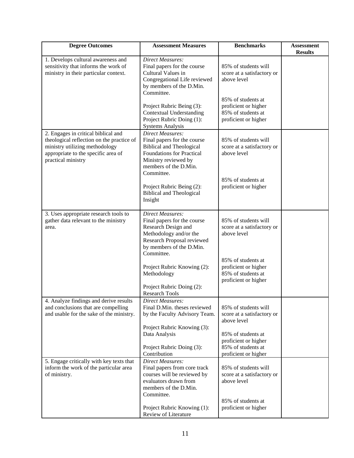| <b>Degree Outcomes</b>                                                                                                                                                          | <b>Assessment Measures</b>                                                                                                                                                                                                                                                     | <b>Benchmarks</b>                                                                                                                                             | <b>Assessment</b><br><b>Results</b> |
|---------------------------------------------------------------------------------------------------------------------------------------------------------------------------------|--------------------------------------------------------------------------------------------------------------------------------------------------------------------------------------------------------------------------------------------------------------------------------|---------------------------------------------------------------------------------------------------------------------------------------------------------------|-------------------------------------|
| 1. Develops cultural awareness and<br>sensitivity that informs the work of<br>ministry in their particular context.                                                             | <b>Direct Measures:</b><br>Final papers for the course<br>Cultural Values in<br>Congregational Life reviewed<br>by members of the D.Min.<br>Committee.<br>Project Rubric Being (3):<br><b>Contextual Understanding</b><br>Project Rubric Doing (1):<br><b>Systems Analysis</b> | 85% of students will<br>score at a satisfactory or<br>above level<br>85% of students at<br>proficient or higher<br>85% of students at<br>proficient or higher |                                     |
| 2. Engages in critical biblical and<br>theological reflection on the practice of<br>ministry utilizing methodology<br>appropriate to the specific area of<br>practical ministry | <b>Direct Measures:</b><br>Final papers for the course<br><b>Biblical and Theological</b><br><b>Foundations for Practical</b><br>Ministry reviewed by<br>members of the D.Min.<br>Committee.<br>Project Rubric Being (2):<br><b>Biblical and Theological</b><br>Insight        | 85% of students will<br>score at a satisfactory or<br>above level<br>85% of students at<br>proficient or higher                                               |                                     |
| 3. Uses appropriate research tools to<br>gather data relevant to the ministry<br>area.                                                                                          | Direct Measures:<br>Final papers for the course<br>Research Design and<br>Methodology and/or the<br>Research Proposal reviewed<br>by members of the D.Min.<br>Committee.<br>Project Rubric Knowing (2):<br>Methodology<br>Project Rubric Doing (2):<br><b>Research Tools</b>   | 85% of students will<br>score at a satisfactory or<br>above level<br>85% of students at<br>proficient or higher<br>85% of students at<br>proficient or higher |                                     |
| 4. Analyze findings and derive results<br>and conclusions that are compelling<br>and usable for the sake of the ministry.                                                       | Direct Measures:<br>Final D.Min. theses reviewed<br>by the Faculty Advisory Team.<br>Project Rubric Knowing (3):<br>Data Analysis<br>Project Rubric Doing (3):<br>Contribution                                                                                                 | 85% of students will<br>score at a satisfactory or<br>above level<br>85% of students at<br>proficient or higher<br>85% of students at<br>proficient or higher |                                     |
| 5. Engage critically with key texts that<br>inform the work of the particular area<br>of ministry.                                                                              | <b>Direct Measures:</b><br>Final papers from core track<br>courses will be reviewed by<br>evaluators drawn from<br>members of the D.Min.<br>Committee.<br>Project Rubric Knowing (1):<br>Review of Literature                                                                  | 85% of students will<br>score at a satisfactory or<br>above level<br>85% of students at<br>proficient or higher                                               |                                     |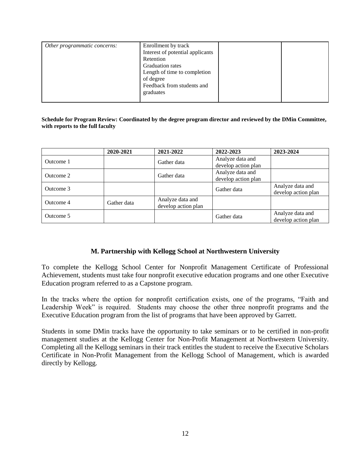| Other programmatic concerns: | Enrollment by track              |  |
|------------------------------|----------------------------------|--|
|                              | Interest of potential applicants |  |
|                              | Retention                        |  |
|                              | <b>Graduation rates</b>          |  |
|                              | Length of time to completion     |  |
|                              | of degree                        |  |
|                              | Feedback from students and       |  |
|                              | graduates                        |  |
|                              |                                  |  |

**Schedule for Program Review: Coordinated by the degree program director and reviewed by the DMin Committee, with reports to the full faculty**

|           | 2020-2021   | 2021-2022           | 2022-2023           | 2023-2024           |
|-----------|-------------|---------------------|---------------------|---------------------|
| Outcome 1 |             | Gather data         | Analyze data and    |                     |
|           |             |                     | develop action plan |                     |
| Outcome 2 |             | Gather data         | Analyze data and    |                     |
|           |             |                     | develop action plan |                     |
| Outcome 3 |             |                     | Gather data         | Analyze data and    |
|           |             |                     |                     | develop action plan |
| Outcome 4 | Gather data | Analyze data and    |                     |                     |
|           |             | develop action plan |                     |                     |
| Outcome 5 |             |                     | Gather data         | Analyze data and    |
|           |             |                     |                     | develop action plan |

### **M. Partnership with Kellogg School at Northwestern University**

To complete the Kellogg School Center for Nonprofit Management Certificate of Professional Achievement, students must take four nonprofit executive education programs and one other Executive Education program referred to as a Capstone program.

In the tracks where the option for nonprofit certification exists, one of the programs, "Faith and Leadership Week" is required. Students may choose the other three nonprofit programs and the Executive Education program from the list of programs that have been approved by Garrett.

Students in some DMin tracks have the opportunity to take seminars or to be certified in non-profit management studies at the Kellogg Center for Non-Profit Management at Northwestern University. Completing all the Kellogg seminars in their track entitles the student to receive the Executive Scholars Certificate in Non-Profit Management from the Kellogg School of Management, which is awarded directly by Kellogg.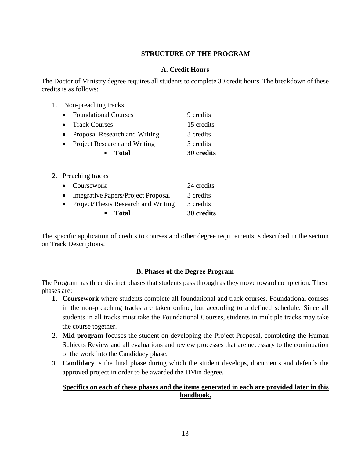# **STRUCTURE OF THE PROGRAM**

# **A. Credit Hours**

<span id="page-12-1"></span><span id="page-12-0"></span>The Doctor of Ministry degree requires all students to complete 30 credit hours. The breakdown of these credits is as follows:

| <b>Foundational Courses</b><br>$\bullet$ | 9 credits  |
|------------------------------------------|------------|
| • Track Courses                          | 15 credits |
| Proposal Research and Writing            | 3 credits  |
| <b>Project Research and Writing</b>      | 3 credits  |
| Total<br>$\mathbf{r}$                    | 30 credits |

2. Preaching tracks

| $\blacksquare$ Total                  | 30 credits |
|---------------------------------------|------------|
| • Project/Thesis Research and Writing | 3 credits  |
| • Integrative Papers/Project Proposal | 3 credits  |
| • Coursework                          | 24 credits |

The specific application of credits to courses and other degree requirements is described in the section on Track Descriptions.

# **B. Phases of the Degree Program**

<span id="page-12-2"></span>The Program has three distinct phases that students pass through as they move toward completion. These phases are:

- **1. Coursework** where students complete all foundational and track courses. Foundational courses in the non-preaching tracks are taken online, but according to a defined schedule. Since all students in all tracks must take the Foundational Courses, students in multiple tracks may take the course together.
- 2. **Mid-program** focuses the student on developing the Project Proposal, completing the Human Subjects Review and all evaluations and review processes that are necessary to the continuation of the work into the Candidacy phase.
- 3. **Candidacy** is the final phase during which the student develops, documents and defends the approved project in order to be awarded the DMin degree.

# <span id="page-12-3"></span>**Specifics on each of these phases and the items generated in each are provided later in this handbook.**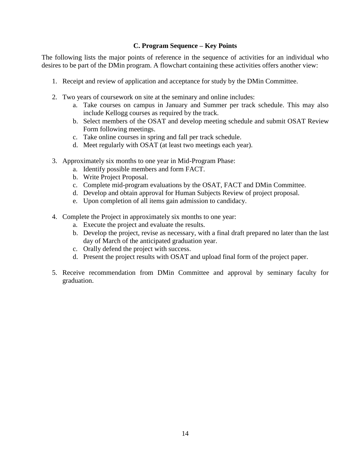### **C. Program Sequence – Key Points**

<span id="page-13-0"></span>The following lists the major points of reference in the sequence of activities for an individual who desires to be part of the DMin program. A flowchart containing these activities offers another view:

- 1. Receipt and review of application and acceptance for study by the DMin Committee.
- 2. Two years of coursework on site at the seminary and online includes:
	- a. Take courses on campus in January and Summer per track schedule. This may also include Kellogg courses as required by the track.
	- b. Select members of the OSAT and develop meeting schedule and submit OSAT Review Form following meetings.
	- c. Take online courses in spring and fall per track schedule.
	- d. Meet regularly with OSAT (at least two meetings each year).
- 3. Approximately six months to one year in Mid-Program Phase:
	- a. Identify possible members and form FACT.
	- b. Write Project Proposal.
	- c. Complete mid-program evaluations by the OSAT, FACT and DMin Committee.
	- d. Develop and obtain approval for Human Subjects Review of project proposal.
	- e. Upon completion of all items gain admission to candidacy.
- 4. Complete the Project in approximately six months to one year:
	- a. Execute the project and evaluate the results.
	- b. Develop the project, revise as necessary, with a final draft prepared no later than the last day of March of the anticipated graduation year.
	- c. Orally defend the project with success.
	- d. Present the project results with OSAT and upload final form of the project paper.
- 5. Receive recommendation from DMin Committee and approval by seminary faculty for graduation.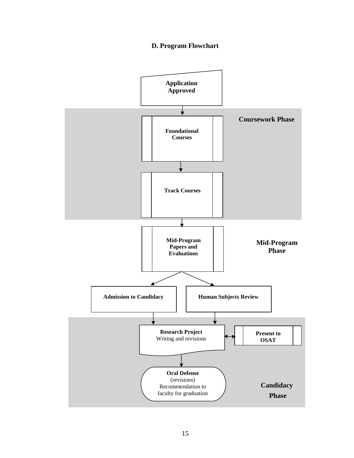# **D. Program Flowchart**

<span id="page-14-0"></span>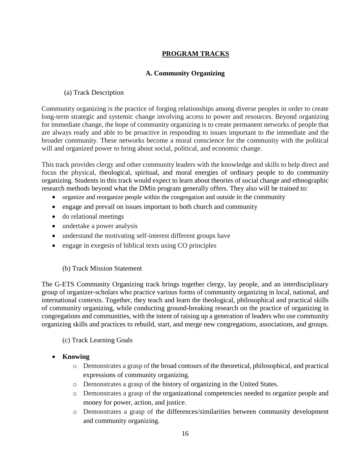# **PROGRAM TRACKS**

# **A. Community Organizing**

### <span id="page-15-1"></span><span id="page-15-0"></span>(a) Track Description

Community organizing is the practice of forging relationships among diverse peoples in order to create long-term strategic and systemic change involving access to power and resources. Beyond organizing for immediate change, the hope of community organizing is to create permanent networks of people that are always ready and able to be proactive in responding to issues important to the immediate and the broader community. These networks become a moral conscience for the community with the political will and organized power to bring about social, political, and economic change.

This track provides clergy and other community leaders with the knowledge and skills to help direct and focus the physical, theological, spiritual, and moral energies of ordinary people to do community organizing. Students in this track would expect to learn about theories of social change and ethnographic research methods beyond what the DMin program generally offers. They also will be trained to:

- organize and reorganize people within the congregation and outside in the community
- engage and prevail on issues important to both church and community
- do relational meetings
- undertake a power analysis
- understand the motivating self-interest different groups have
- engage in exegesis of biblical texts using CO principles

### (b) Track Mission Statement

The G-ETS Community Organizing track brings together clergy, lay people, and an interdisciplinary group of organizer-scholars who practice various forms of community organizing in local, national, and international contexts. Together, they teach and learn the theological, philosophical and practical skills of community organizing, while conducting ground-breaking research on the practice of organizing in congregations and communities, with the intent of raising up a generation of leaders who use community organizing skills and practices to rebuild, start, and merge new congregations, associations, and groups.

(c) Track Learning Goals

# • **Knowing**

- o Demonstrates a grasp of the broad contours of the theoretical, philosophical, and practical expressions of community organizing.
- o Demonstrates a grasp of the history of organizing in the United States.
- o Demonstrates a grasp of the organizational competencies needed to organize people and money for power, action, and justice.
- o Demonstrates a grasp of the differences/similarities between community development and community organizing.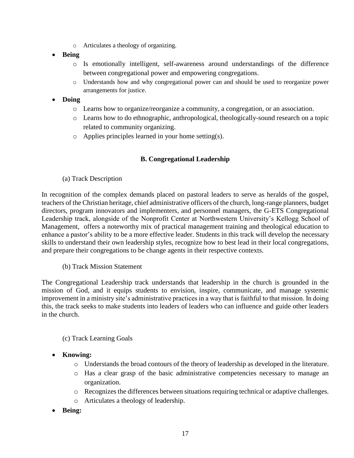- o Articulates a theology of organizing.
- **Being**
	- o Is emotionally intelligent, self-awareness around understandings of the difference between congregational power and empowering congregations.
	- o Understands how and why congregational power can and should be used to reorganize power arrangements for justice.
- **Doing**
	- o Learns how to organize/reorganize a community, a congregation, or an association.
	- o Learns how to do ethnographic, anthropological, theologically-sound research on a topic related to community organizing.
	- o Applies principles learned in your home setting(s).

# **B. Congregational Leadership**

<span id="page-16-0"></span>(a) Track Description

In recognition of the complex demands placed on pastoral leaders to serve as heralds of the gospel, teachers of the Christian heritage, chief administrative officers of the church, long-range planners, budget directors, program innovators and implementers, and personnel managers, the G-ETS Congregational Leadership track, alongside of the Nonprofit Center at Northwestern University's Kellogg School of Management, offers a noteworthy mix of practical management training and theological education to enhance a pastor's ability to be a more effective leader. Students in this track will develop the necessary skills to understand their own leadership styles, recognize how to best lead in their local congregations, and prepare their congregations to be change agents in their respective contexts.

(b) Track Mission Statement

The Congregational Leadership track understands that leadership in the church is grounded in the mission of God, and it equips students to envision, inspire, communicate, and manage systemic improvement in a ministry site's administrative practices in a way that is faithful to that mission. In doing this, the track seeks to make students into leaders of leaders who can influence and guide other leaders in the church.

- (c) Track Learning Goals
- **Knowing:**
	- o Understands the broad contours of the theory of leadership as developed in the literature.
	- o Has a clear grasp of the basic administrative competencies necessary to manage an organization.
	- o Recognizes the differences between situations requiring technical or adaptive challenges.
	- o Articulates a theology of leadership.
- **Being:**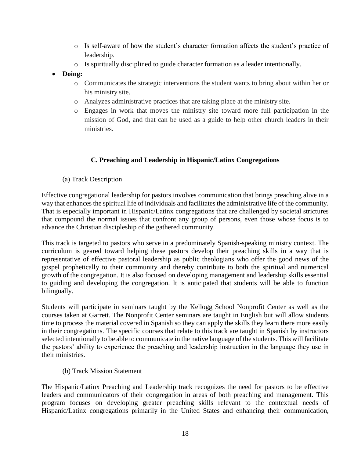- o Is self-aware of how the student's character formation affects the student's practice of leadership.
- o Is spiritually disciplined to guide character formation as a leader intentionally.

# • **Doing:**

- o Communicates the strategic interventions the student wants to bring about within her or his ministry site.
- o Analyzes administrative practices that are taking place at the ministry site.
- o Engages in work that moves the ministry site toward more full participation in the mission of God, and that can be used as a guide to help other church leaders in their ministries.

# **C. Preaching and Leadership in Hispanic/Latinx Congregations**

<span id="page-17-0"></span>(a) Track Description

Effective congregational leadership for pastors involves communication that brings preaching alive in a way that enhances the spiritual life of individuals and facilitates the administrative life of the community. That is especially important in Hispanic/Latinx congregations that are challenged by societal strictures that compound the normal issues that confront any group of persons, even those whose focus is to advance the Christian discipleship of the gathered community.

This track is targeted to pastors who serve in a predominately Spanish-speaking ministry context. The curriculum is geared toward helping these pastors develop their preaching skills in a way that is representative of effective pastoral leadership as public theologians who offer the good news of the gospel prophetically to their community and thereby contribute to both the spiritual and numerical growth of the congregation. It is also focused on developing management and leadership skills essential to guiding and developing the congregation. It is anticipated that students will be able to function bilingually.

Students will participate in seminars taught by the Kellogg School Nonprofit Center as well as the courses taken at Garrett. The Nonprofit Center seminars are taught in English but will allow students time to process the material covered in Spanish so they can apply the skills they learn there more easily in their congregations. The specific courses that relate to this track are taught in Spanish by instructors selected intentionally to be able to communicate in the native language of the students. This will facilitate the pastors' ability to experience the preaching and leadership instruction in the language they use in their ministries.

(b) Track Mission Statement

The Hispanic/Latinx Preaching and Leadership track recognizes the need for pastors to be effective leaders and communicators of their congregation in areas of both preaching and management. This program focuses on developing greater preaching skills relevant to the contextual needs of Hispanic/Latinx congregations primarily in the United States and enhancing their communication,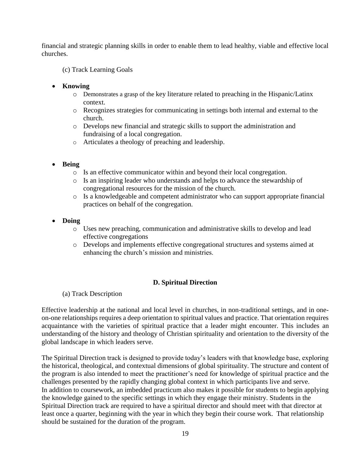financial and strategic planning skills in order to enable them to lead healthy, viable and effective local churches.

(c) Track Learning Goals

### • **Knowing**

- o Demonstrates a grasp of the key literature related to preaching in the Hispanic/Latinx context.
- o Recognizes strategies for communicating in settings both internal and external to the church.
- o Develops new financial and strategic skills to support the administration and fundraising of a local congregation.
- o Articulates a theology of preaching and leadership.
- **Being**
	- o Is an effective communicator within and beyond their local congregation.
	- o Is an inspiring leader who understands and helps to advance the stewardship of congregational resources for the mission of the church.
	- o Is a knowledgeable and competent administrator who can support appropriate financial practices on behalf of the congregation.
- **Doing**
	- o Uses new preaching, communication and administrative skills to develop and lead effective congregations
	- o Develops and implements effective congregational structures and systems aimed at enhancing the church's mission and ministries.

# **D. Spiritual Direction**

<span id="page-18-0"></span>(a) Track Description

Effective leadership at the national and local level in churches, in non-traditional settings, and in oneon-one relationships requires a deep orientation to spiritual values and practice. That orientation requires acquaintance with the varieties of spiritual practice that a leader might encounter. This includes an understanding of the history and theology of Christian spirituality and orientation to the diversity of the global landscape in which leaders serve.

The Spiritual Direction track is designed to provide today's leaders with that knowledge base, exploring the historical, theological, and contextual dimensions of global spirituality. The structure and content of the program is also intended to meet the practitioner's need for knowledge of spiritual practice and the challenges presented by the rapidly changing global context in which participants live and serve. In addition to coursework, an imbedded practicum also makes it possible for students to begin applying the knowledge gained to the specific settings in which they engage their ministry. Students in the Spiritual Direction track are required to have a spiritual director and should meet with that director at least once a quarter, beginning with the year in which they begin their course work. That relationship should be sustained for the duration of the program.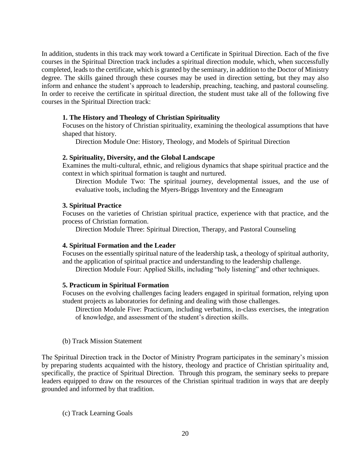In addition, students in this track may work toward a Certificate in Spiritual Direction. Each of the five courses in the Spiritual Direction track includes a spiritual direction module, which, when successfully completed, leads to the certificate, which is granted by the seminary, in addition to the Doctor of Ministry degree. The skills gained through these courses may be used in direction setting, but they may also inform and enhance the student's approach to leadership, preaching, teaching, and pastoral counseling. In order to receive the certificate in spiritual direction, the student must take all of the following five courses in the Spiritual Direction track:

### **1. The History and Theology of Christian Spirituality**

Focuses on the history of Christian spirituality, examining the theological assumptions that have shaped that history.

Direction Module One: History, Theology, and Models of Spiritual Direction

#### **2. Spirituality, Diversity, and the Global Landscape**

Examines the multi-cultural, ethnic, and religious dynamics that shape spiritual practice and the context in which spiritual formation is taught and nurtured.

Direction Module Two: The spiritual journey, developmental issues, and the use of evaluative tools, including the Myers-Briggs Inventory and the Enneagram

#### **3. Spiritual Practice**

Focuses on the varieties of Christian spiritual practice, experience with that practice, and the process of Christian formation.

Direction Module Three: Spiritual Direction, Therapy, and Pastoral Counseling

### **4. Spiritual Formation and the Leader**

Focuses on the essentially spiritual nature of the leadership task, a theology of spiritual authority, and the application of spiritual practice and understanding to the leadership challenge.

Direction Module Four: Applied Skills, including "holy listening" and other techniques.

#### **5. Practicum in Spiritual Formation**

Focuses on the evolving challenges facing leaders engaged in spiritual formation, relying upon student projects as laboratories for defining and dealing with those challenges.

Direction Module Five: Practicum, including verbatims, in-class exercises, the integration of knowledge, and assessment of the student's direction skills.

(b) Track Mission Statement

The Spiritual Direction track in the Doctor of Ministry Program participates in the seminary's mission by preparing students acquainted with the history, theology and practice of Christian spirituality and, specifically, the practice of Spiritual Direction. Through this program, the seminary seeks to prepare leaders equipped to draw on the resources of the Christian spiritual tradition in ways that are deeply grounded and informed by that tradition.

(c) Track Learning Goals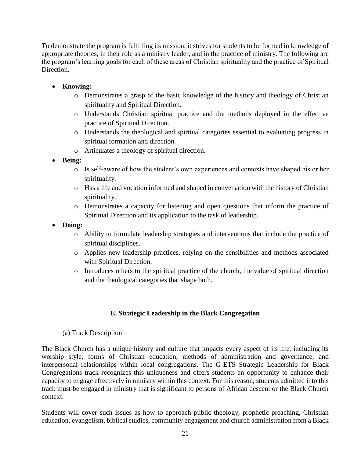To demonstrate the program is fulfilling its mission, it strives for students to be formed in knowledge of appropriate theories, in their role as a ministry leader, and in the practice of ministry. The following are the program's learning goals for each of these areas of Christian spirituality and the practice of Spiritual Direction.

# • **Knowing:**

- o Demonstrates a grasp of the basic knowledge of the history and theology of Christian spirituality and Spiritual Direction.
- o Understands Christian spiritual practice and the methods deployed in the effective practice of Spiritual Direction.
- o Understands the theological and spiritual categories essential to evaluating progress in spiritual formation and direction.
- o Articulates a theology of spiritual direction.
- **Being:**
	- o Is self-aware of how the student's own experiences and contexts have shaped his or her spirituality.
	- o Has a life and vocation informed and shaped in conversation with the history of Christian spirituality.
	- o Demonstrates a capacity for listening and open questions that inform the practice of Spiritual Direction and its application to the task of leadership.
- **Doing:**
	- o Ability to formulate leadership strategies and interventions that include the practice of spiritual disciplines.
	- o Applies new leadership practices, relying on the sensibilities and methods associated with Spiritual Direction.
	- o Introduces others to the spiritual practice of the church, the value of spiritual direction and the theological categories that shape both.

# **E. Strategic Leadership in the Black Congregation**

<span id="page-20-0"></span>(a) Track Description

The Black Church has a unique history and culture that impacts every aspect of its life, including its worship style, forms of Christian education, methods of administration and governance, and interpersonal relationships within local congregations. The G-ETS Strategic Leadership for Black Congregations track recognizes this uniqueness and offers students an opportunity to enhance their capacity to engage effectively in ministry within this context. For this reason, students admitted into this track must be engaged in ministry that is significant to persons of African descent or the Black Church context.

Students will cover such issues as how to approach public theology, prophetic preaching, Christian education, evangelism, biblical studies, community engagement and church administration from a Black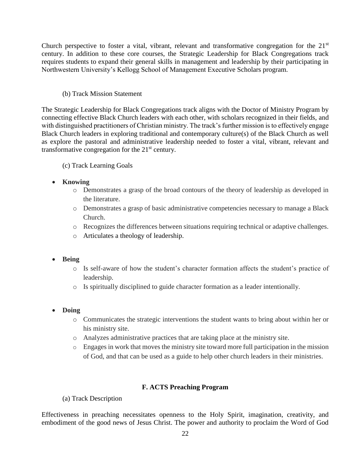Church perspective to foster a vital, vibrant, relevant and transformative congregation for the  $21<sup>st</sup>$ century. In addition to these core courses, the Strategic Leadership for Black Congregations track requires students to expand their general skills in management and leadership by their participating in Northwestern University's Kellogg School of Management Executive Scholars program.

(b) Track Mission Statement

The Strategic Leadership for Black Congregations track aligns with the Doctor of Ministry Program by connecting effective Black Church leaders with each other, with scholars recognized in their fields, and with distinguished practitioners of Christian ministry. The track's further mission is to effectively engage Black Church leaders in exploring traditional and contemporary culture(s) of the Black Church as well as explore the pastoral and administrative leadership needed to foster a vital, vibrant, relevant and transformative congregation for the  $21<sup>st</sup>$  century.

- (c) Track Learning Goals
- **Knowing**
	- o Demonstrates a grasp of the broad contours of the theory of leadership as developed in the literature.
	- o Demonstrates a grasp of basic administrative competencies necessary to manage a Black Church.
	- o Recognizes the differences between situations requiring technical or adaptive challenges.
	- o Articulates a theology of leadership.
- **Being**
	- o Is self-aware of how the student's character formation affects the student's practice of leadership.
	- o Is spiritually disciplined to guide character formation as a leader intentionally.
- **Doing**
	- o Communicates the strategic interventions the student wants to bring about within her or his ministry site.
	- o Analyzes administrative practices that are taking place at the ministry site.
	- o Engages in work that moves the ministry site toward more full participation in the mission of God, and that can be used as a guide to help other church leaders in their ministries.

# **F. ACTS Preaching Program**

### <span id="page-21-0"></span>(a) Track Description

Effectiveness in preaching necessitates openness to the Holy Spirit, imagination, creativity, and embodiment of the good news of Jesus Christ. The power and authority to proclaim the Word of God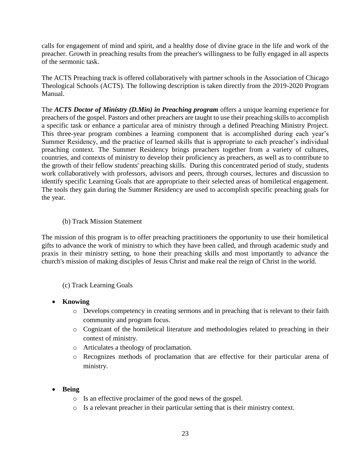calls for engagement of mind and spirit, and a healthy dose of divine grace in the life and work of the preacher. Growth in preaching results from the preacher's willingness to be fully engaged in all aspects of the sermonic task.

The ACTS Preaching track is offered collaboratively with partner schools in the Association of Chicago Theological Schools (ACTS). The following description is taken directly from the 2019-2020 Program Manual.

The *ACTS Doctor of Ministry (D.Min) in Preaching program* offers a unique learning experience for preachers of the gospel. Pastors and other preachers are taught to use their preaching skills to accomplish a specific task or enhance a particular area of ministry through a defined Preaching Ministry Project. This three-year program combines a learning component that is accomplished during each year's Summer Residency, and the practice of learned skills that is appropriate to each preacher's individual preaching context. The Summer Residency brings preachers together from a variety of cultures, countries, and contexts of ministry to develop their proficiency as preachers, as well as to contribute to the growth of their fellow students' preaching skills. During this concentrated period of study, students work collaboratively with professors, advisors and peers, through courses, lectures and discussion to identify specific Learning Goals that are appropriate to their selected areas of homiletical engagement. The tools they gain during the Summer Residency are used to accomplish specific preaching goals for the year.

### (b) Track Mission Statement

The mission of this program is to offer preaching practitioners the opportunity to use their homiletical gifts to advance the work of ministry to which they have been called, and through academic study and praxis in their ministry setting, to hone their preaching skills and most importantly to advance the church's mission of making disciples of Jesus Christ and make real the reign of Christ in the world.

(c) Track Learning Goals

# • **Knowing**

- o Develops competency in creating sermons and in preaching that is relevant to their faith community and program focus.
- o Cognizant of the homiletical literature and methodologies related to preaching in their context of ministry.
- o Articulates a theology of proclamation.
- o Recognizes methods of proclamation that are effective for their particular arena of ministry.
- **Being**
	- o Is an effective proclaimer of the good news of the gospel.
	- o Is a relevant preacher in their particular setting that is their ministry context.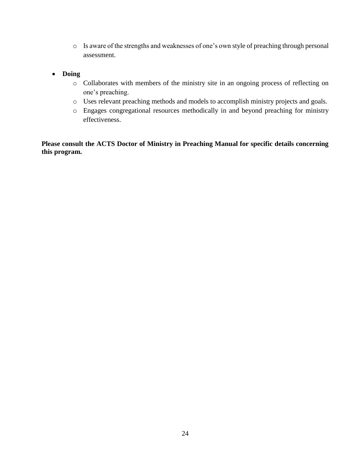- o Is aware of the strengths and weaknesses of one's own style of preaching through personal assessment.
- **Doing**
	- o Collaborates with members of the ministry site in an ongoing process of reflecting on one's preaching.
	- o Uses relevant preaching methods and models to accomplish ministry projects and goals.
	- o Engages congregational resources methodically in and beyond preaching for ministry effectiveness.

**Please consult the ACTS Doctor of Ministry in Preaching Manual for specific details concerning this program.**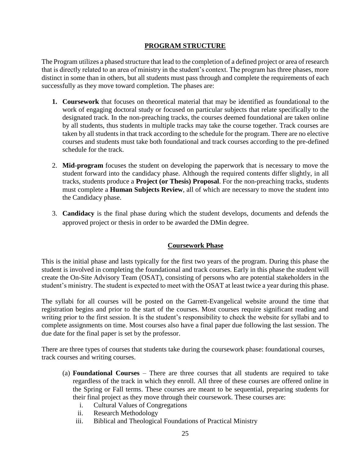# **PROGRAM STRUCTURE**

The Program utilizes a phased structure that lead to the completion of a defined project or area of research that is directly related to an area of ministry in the student's context. The program has three phases, more distinct in some than in others, but all students must pass through and complete the requirements of each successfully as they move toward completion. The phases are:

- **1. Coursework** that focuses on theoretical material that may be identified as foundational to the work of engaging doctoral study or focused on particular subjects that relate specifically to the designated track. In the non-preaching tracks, the courses deemed foundational are taken online by all students, thus students in multiple tracks may take the course together. Track courses are taken by all students in that track according to the schedule for the program. There are no elective courses and students must take both foundational and track courses according to the pre-defined schedule for the track.
- 2. **Mid-program** focuses the student on developing the paperwork that is necessary to move the student forward into the candidacy phase. Although the required contents differ slightly, in all tracks, students produce a **Project (or Thesis) Proposal**. For the non-preaching tracks, students must complete a **Human Subjects Review**, all of which are necessary to move the student into the Candidacy phase.
- 3. **Candidacy** is the final phase during which the student develops, documents and defends the approved project or thesis in order to be awarded the DMin degree.

# **Coursework Phase**

<span id="page-24-0"></span>This is the initial phase and lasts typically for the first two years of the program. During this phase the student is involved in completing the foundational and track courses. Early in this phase the student will create the On-Site Advisory Team (OSAT), consisting of persons who are potential stakeholders in the student's ministry. The student is expected to meet with the OSAT at least twice a year during this phase.

The syllabi for all courses will be posted on the Garrett-Evangelical website around the time that registration begins and prior to the start of the courses. Most courses require significant reading and writing prior to the first session. It is the student's responsibility to check the website for syllabi and to complete assignments on time. Most courses also have a final paper due following the last session. The due date for the final paper is set by the professor.

There are three types of courses that students take during the coursework phase: foundational courses, track courses and writing courses.

- (a) **Foundational Courses** There are three courses that all students are required to take regardless of the track in which they enroll. All three of these courses are offered online in the Spring or Fall terms. These courses are meant to be sequential, preparing students for their final project as they move through their coursework. These courses are:
	- i. Cultural Values of Congregations
	- ii. Research Methodology
	- iii. Biblical and Theological Foundations of Practical Ministry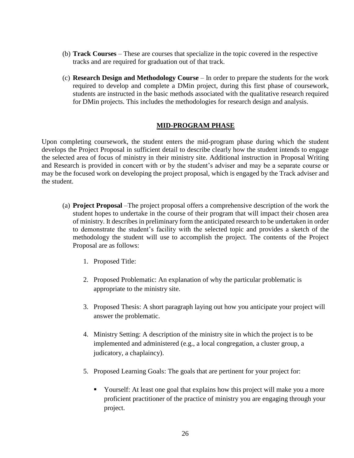- (b) **Track Courses** These are courses that specialize in the topic covered in the respective tracks and are required for graduation out of that track.
- (c) **Research Design and Methodology Course** In order to prepare the students for the work required to develop and complete a DMin project, during this first phase of coursework, students are instructed in the basic methods associated with the qualitative research required for DMin projects. This includes the methodologies for research design and analysis.

### **MID-PROGRAM PHASE**

<span id="page-25-0"></span>Upon completing coursework, the student enters the mid-program phase during which the student develops the Project Proposal in sufficient detail to describe clearly how the student intends to engage the selected area of focus of ministry in their ministry site. Additional instruction in Proposal Writing and Research is provided in concert with or by the student's adviser and may be a separate course or may be the focused work on developing the project proposal, which is engaged by the Track adviser and the student.

- (a) **Project Proposal** –The project proposal offers a comprehensive description of the work the student hopes to undertake in the course of their program that will impact their chosen area of ministry. It describes in preliminary form the anticipated research to be undertaken in order to demonstrate the student's facility with the selected topic and provides a sketch of the methodology the student will use to accomplish the project. The contents of the Project Proposal are as follows:
	- 1. Proposed Title:
	- 2. Proposed Problematic: An explanation of why the particular problematic is appropriate to the ministry site.
	- 3. Proposed Thesis: A short paragraph laying out how you anticipate your project will answer the problematic.
	- 4. Ministry Setting: A description of the ministry site in which the project is to be implemented and administered (e.g., a local congregation, a cluster group, a judicatory, a chaplaincy).
	- 5. Proposed Learning Goals: The goals that are pertinent for your project for:
		- Yourself: At least one goal that explains how this project will make you a more proficient practitioner of the practice of ministry you are engaging through your project.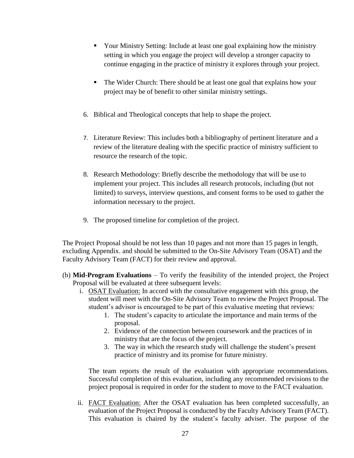- Your Ministry Setting: Include at least one goal explaining how the ministry setting in which you engage the project will develop a stronger capacity to continue engaging in the practice of ministry it explores through your project.
- The Wider Church: There should be at least one goal that explains how your project may be of benefit to other similar ministry settings.
- 6. Biblical and Theological concepts that help to shape the project.
- 7. Literature Review: This includes both a bibliography of pertinent literature and a review of the literature dealing with the specific practice of ministry sufficient to resource the research of the topic.
- 8. Research Methodology: Briefly describe the methodology that will be use to implement your project. This includes all research protocols, including (but not limited) to surveys, interview questions, and consent forms to be used to gather the information necessary to the project.
- 9. The proposed timeline for completion of the project.

The Project Proposal should be not less than 10 pages and not more than 15 pages in length, excluding Appendix. and should be submitted to the On-Site Advisory Team (OSAT) and the Faculty Advisory Team (FACT) for their review and approval.

- (b) **Mid-Program Evaluations** To verify the feasibility of the intended project, the Project Proposal will be evaluated at three subsequent levels:
	- i. OSAT Evaluation: In accord with the consultative engagement with this group, the student will meet with the On-Site Advisory Team to review the Project Proposal. The student's advisor is encouraged to be part of this evaluative meeting that reviews:
		- 1. The student's capacity to articulate the importance and main terms of the proposal.
		- 2. Evidence of the connection between coursework and the practices of in ministry that are the focus of the project.
		- 3. The way in which the research study will challenge the student's present practice of ministry and its promise for future ministry.

The team reports the result of the evaluation with appropriate recommendations. Successful completion of this evaluation, including any recommended revisions to the project proposal is required in order for the student to move to the FACT evaluation.

ii. FACT Evaluation: After the OSAT evaluation has been completed successfully, an evaluation of the Project Proposal is conducted by the Faculty Advisory Team (FACT). This evaluation is chaired by the student's faculty adviser. The purpose of the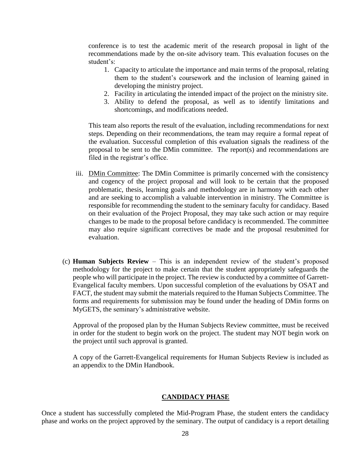conference is to test the academic merit of the research proposal in light of the recommendations made by the on-site advisory team. This evaluation focuses on the student's:

- 1. Capacity to articulate the importance and main terms of the proposal, relating them to the student's coursework and the inclusion of learning gained in developing the ministry project.
- 2. Facility in articulating the intended impact of the project on the ministry site.
- 3. Ability to defend the proposal, as well as to identify limitations and shortcomings, and modifications needed.

This team also reports the result of the evaluation, including recommendations for next steps. Depending on their recommendations, the team may require a formal repeat of the evaluation. Successful completion of this evaluation signals the readiness of the proposal to be sent to the DMin committee. The report(s) and recommendations are filed in the registrar's office.

- iii. DMin Committee: The DMin Committee is primarily concerned with the consistency and cogency of the project proposal and will look to be certain that the proposed problematic, thesis, learning goals and methodology are in harmony with each other and are seeking to accomplish a valuable intervention in ministry. The Committee is responsible for recommending the student to the seminary faculty for candidacy. Based on their evaluation of the Project Proposal, they may take such action or may require changes to be made to the proposal before candidacy is recommended. The committee may also require significant correctives be made and the proposal resubmitted for evaluation.
- (c) **Human Subjects Review** This is an independent review of the student's proposed methodology for the project to make certain that the student appropriately safeguards the people who will participate in the project. The review is conducted by a committee of Garrett-Evangelical faculty members. Upon successful completion of the evaluations by OSAT and FACT, the student may submit the materials required to the Human Subjects Committee. The forms and requirements for submission may be found under the heading of DMin forms on MyGETS, the seminary's administrative website.

Approval of the proposed plan by the Human Subjects Review committee, must be received in order for the student to begin work on the project. The student may NOT begin work on the project until such approval is granted.

A copy of the Garrett-Evangelical requirements for Human Subjects Review is included as an appendix to the DMin Handbook.

#### **CANDIDACY PHASE**

<span id="page-27-0"></span>Once a student has successfully completed the Mid-Program Phase, the student enters the candidacy phase and works on the project approved by the seminary. The output of candidacy is a report detailing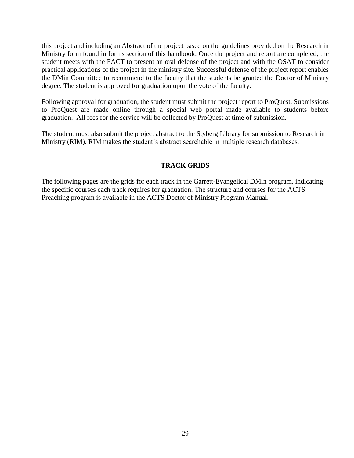this project and including an Abstract of the project based on the guidelines provided on the Research in Ministry form found in forms section of this handbook. Once the project and report are completed, the student meets with the FACT to present an oral defense of the project and with the OSAT to consider practical applications of the project in the ministry site. Successful defense of the project report enables the DMin Committee to recommend to the faculty that the students be granted the Doctor of Ministry degree. The student is approved for graduation upon the vote of the faculty.

Following approval for graduation, the student must submit the project report to ProQuest. Submissions to ProQuest are made online through a special web portal made available to students before graduation. All fees for the service will be collected by ProQuest at time of submission.

The student must also submit the project abstract to the Styberg Library for submission to Research in Ministry (RIM). RIM makes the student's abstract searchable in multiple research databases.

# **TRACK GRIDS**

The following pages are the grids for each track in the Garrett-Evangelical DMin program, indicating the specific courses each track requires for graduation. The structure and courses for the ACTS Preaching program is available in the ACTS Doctor of Ministry Program Manual.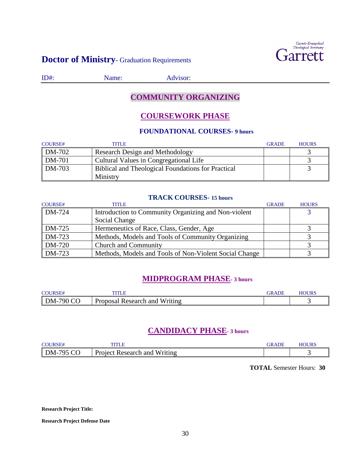

# **Doctor of Ministry-** Graduation Requirements

ID#: Name: Advisor:

# **COMMUNITY ORGANIZING**

# **COURSEWORK PHASE**

# **FOUNDATIONAL COURSES- 9 hours**

| COURSE# | TITLE                                                     | <b>GRADE</b> | <b>HOURS</b> |
|---------|-----------------------------------------------------------|--------------|--------------|
| DM-702  | Research Design and Methodology                           |              |              |
| DM-701  | Cultural Values in Congregational Life                    |              |              |
| DM-703  | <b>Biblical and Theological Foundations for Practical</b> |              |              |
|         | Ministry                                                  |              |              |

### **TRACK COURSES- 15 hours**

| <b>COURSE#</b> | TITLE                                                  | <b>GRADE</b> | <b>HOURS</b> |
|----------------|--------------------------------------------------------|--------------|--------------|
| DM-724         | Introduction to Community Organizing and Non-violent   |              |              |
|                | Social Change                                          |              |              |
| DM-725         | Hermeneutics of Race, Class, Gender, Age               |              |              |
| DM-723         | Methods, Models and Tools of Community Organizing      |              |              |
| DM-720         | <b>Church and Community</b>                            |              |              |
| DM-723         | Methods, Models and Tools of Non-Violent Social Change |              |              |

# **MIDPROGRAM PHASE- 3 hours**

| <b>COURSE#</b>         | TITI T<br>. <u>.</u>             | GRADE | HOURS |
|------------------------|----------------------------------|-------|-------|
| $DM-$<br>790<br>$\sim$ | Research and Writing<br>Proposal |       |       |

# **CANDIDACY PHASE- 3 hours**

| COTIDCEL            |                                    | ADF<br>7R7 | <b>HOURS</b> |
|---------------------|------------------------------------|------------|--------------|
| 705.<br>`)M-<br>- - | Writing<br>Project<br>Research and |            |              |

**TOTAL** Semester Hours: **30**

**Research Project Title:** 

**Research Project Defense Date**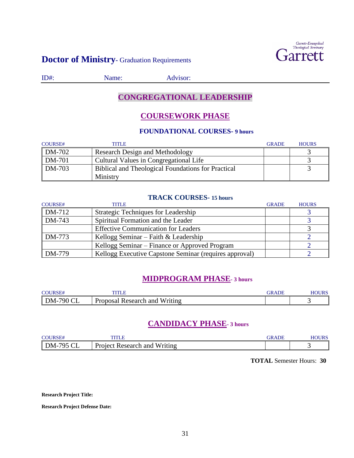

# **Doctor of Ministry-** Graduation Requirements

ID#: Name: Advisor:

# **CONGREGATIONAL LEADERSHIP**

# **COURSEWORK PHASE**

### **FOUNDATIONAL COURSES- 9 hours**

| COURSE# | TITLE                                                     | <b>GRADE</b> | <b>HOURS</b> |
|---------|-----------------------------------------------------------|--------------|--------------|
| DM-702  | <b>Research Design and Methodology</b>                    |              |              |
| DM-701  | Cultural Values in Congregational Life                    |              |              |
| DM-703  | <b>Biblical and Theological Foundations for Practical</b> |              |              |
|         | Ministry                                                  |              |              |

### **TRACK COURSES- 15 hours**

| <b>COURSE#</b> | <b>TITLE</b>                                           | <b>GRADE</b> | <b>HOURS</b> |
|----------------|--------------------------------------------------------|--------------|--------------|
| DM-712         | <b>Strategic Techniques for Leadership</b>             |              |              |
| DM-743         | Spiritual Formation and the Leader                     |              |              |
|                | <b>Effective Communication for Leaders</b>             |              |              |
| DM-773         | Kellogg Seminar – Faith $&$ Leadership                 |              |              |
|                | Kellogg Seminar – Finance or Approved Program          |              |              |
| DM-779         | Kellogg Executive Capstone Seminar (requires approval) |              |              |

# **MIDPROGRAM PHASE- 3 hours**

| <b>COURSE#</b>  |                                          | FR.<br><b>ADF</b> | <b>HOURS</b> |
|-----------------|------------------------------------------|-------------------|--------------|
| 790<br>DM-<br>ັ | Proposal<br>! Writing<br>and<br>Research |                   |              |

# **CANDIDACY PHASE- 3 hours**

| COTIDQPU                               | استعد                              | ، TR<br>ADF | <b>HOURS</b> |
|----------------------------------------|------------------------------------|-------------|--------------|
| $\sim$<br>705<br>W-<br>◡<br><u>. .</u> | Writing<br>Research and<br>Project |             |              |

 **TOTAL** Semester Hours: **30**

**Research Project Title:** 

**Research Project Defense Date:**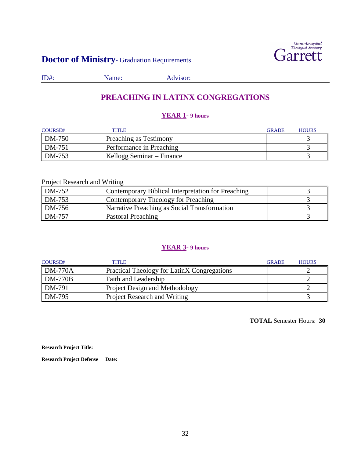

# **Doctor of Ministry-** Graduation Requirements

ID#: Name: Advisor:

# **PREACHING IN LATINX CONGREGATIONS**

# **YEAR 1- 9 hours**

| COURSE#         | TITLE                     | <b>GRADE</b> | <b>HOURS</b> |
|-----------------|---------------------------|--------------|--------------|
| DM-750          | Preaching as Testimony    |              |              |
| $\text{DM-751}$ | Performance in Preaching  |              |              |
| $\text{DM-753}$ | Kellogg Seminar – Finance |              |              |

### Project Research and Writing

| $DM-752$        | Contemporary Biblical Interpretation for Preaching |  |
|-----------------|----------------------------------------------------|--|
| $DM-753$        | Contemporary Theology for Preaching                |  |
| $DM-756$        | Narrative Preaching as Social Transformation       |  |
| $\text{DM-757}$ | Pastoral Preaching                                 |  |

# **YEAR 3- 9 hours**

| COURSE#                | TITLE                                       | <b>GRADE</b> | <b>HOURS</b> |
|------------------------|---------------------------------------------|--------------|--------------|
| $\overline{DM-770A}$   | Practical Theology for LatinX Congregations |              |              |
| $\blacksquare$ DM-770B | Faith and Leadership                        |              |              |
| $DDM-791$              | Project Design and Methodology              |              |              |
| $\text{DM-795}$        | <b>Project Research and Writing</b>         |              |              |

**TOTAL** Semester Hours: **30**

**Research Project Title:** 

**Research Project Defense Date:**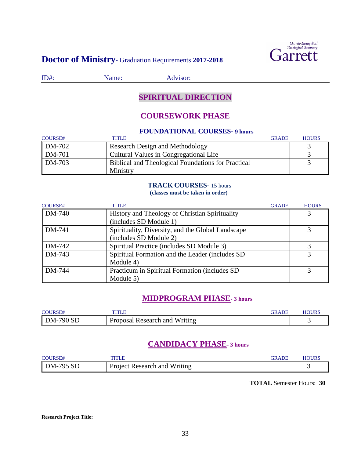

# **Doctor of Ministry-** Graduation Requirements **2017-2018**

ID#: Name: Advisor:

# **SPIRITUAL DIRECTION**

# **COURSEWORK PHASE**

### **FOUNDATIONAL COURSES- 9 hours**

| COURSE# | NITLE                                                     | <b>GRADE</b> | <b>HOURS</b> |
|---------|-----------------------------------------------------------|--------------|--------------|
| DM-702  | <b>Research Design and Methodology</b>                    |              |              |
| DM-701  | Cultural Values in Congregational Life                    |              |              |
| DM-703  | <b>Biblical and Theological Foundations for Practical</b> |              |              |
|         | Ministry                                                  |              |              |

### **TRACK COURSES**- 15 hours

#### **(classes must be taken in order)**

| COURSE# | TITLE                                             | <b>GRADE</b> | <b>HOURS</b> |
|---------|---------------------------------------------------|--------------|--------------|
| DM-740  | History and Theology of Christian Spirituality    |              |              |
|         | (includes SD Module 1)                            |              |              |
| DM-741  | Spirituality, Diversity, and the Global Landscape |              |              |
|         | (includes SD Module 2)                            |              |              |
| DM-742  | Spiritual Practice (includes SD Module 3)         |              |              |
| DM-743  | Spiritual Formation and the Leader (includes SD   |              | 3            |
|         | Module 4)                                         |              |              |
| DM-744  | Practicum in Spiritual Formation (includes SD)    |              |              |
|         | Module 5)                                         |              |              |

# **MIDPROGRAM PHASE- 3 hours**

| <b>COURSE#</b> |                               | <b>GRADE</b> | <b>HOURS</b> |
|----------------|-------------------------------|--------------|--------------|
| $DM-790 SD$    | Proposal Research and Writing |              |              |

# **CANDIDACY PHASE- 3 hours**

| <b>COURSE#</b> |                                     | <b>GRADE</b> | <b>HOURS</b> |
|----------------|-------------------------------------|--------------|--------------|
| $DM-795 SD$    | <b>Project Research and Writing</b> |              |              |

**TOTAL** Semester Hours: **30**

**Research Project Title:**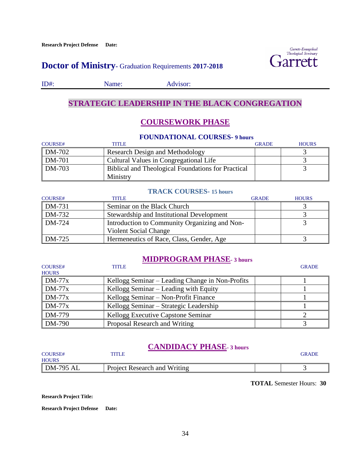

# **Doctor of Ministry-** Graduation Requirements **2017-2018**

Name: Advisor:

# **STRATEGIC LEADERSHIP IN THE BLACK CONGREGATION**

# **COURSEWORK PHASE**

#### **FOUNDATIONAL COURSES- 9 hours**

| COURSE# | TITLE                                                     | <b>GRADE</b> | <b>HOURS</b> |
|---------|-----------------------------------------------------------|--------------|--------------|
| DM-702  | Research Design and Methodology                           |              |              |
| DM-701  | Cultural Values in Congregational Life                    |              |              |
| DM-703  | <b>Biblical and Theological Foundations for Practical</b> |              |              |
|         | Ministry                                                  |              |              |

#### **TRACK COURSES- 15 hours**

| <b>COURSE#</b> | TITLE                                         | <b>GRADE</b> | <b>HOURS</b> |
|----------------|-----------------------------------------------|--------------|--------------|
| DM-731         | Seminar on the Black Church                   |              |              |
| DM-732         | Stewardship and Institutional Development     |              |              |
| DM-724         | Introduction to Community Organizing and Non- |              |              |
|                | <b>Violent Social Change</b>                  |              |              |
| DM-725         | Hermeneutics of Race, Class, Gender, Age      |              |              |

# **MIDPROGRAM PHASE**-3 hours

COURSE# TITLE GRADE **HOURS**  $\boxed{\text{DM-77x}}$  Kellogg Seminar – Leading Change in Non-Profits 1  $DM-77x$  | Kellogg Seminar – Leading with Equity | | | 1 DM-77x | Kellogg Seminar – Non-Profit Finance | | | | DM-77x | Kellogg Seminar – Strategic Leadership | 1 DM-779 Kellogg Executive Capstone Seminar 2 DM-790 Proposal Research and Writing 2008 3

# **CANDIDACY PHASE- 3 hours**

| <b>COURSE#</b>   | TITLE                               | <b>GRADE</b> |
|------------------|-------------------------------------|--------------|
| <b>HOURS</b>     |                                     |              |
| <b>DM-795 AL</b> | <b>Project Research and Writing</b> |              |

 **TOTAL** Semester Hours: **30**

**Research Project Title:** 

**Research Project Defense Date:**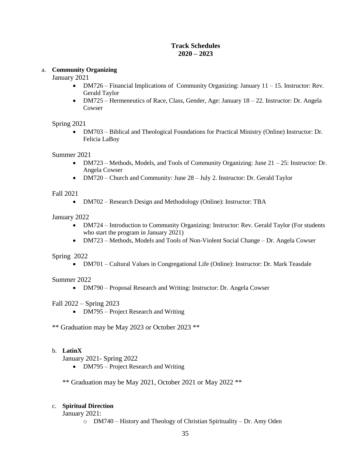### **Track Schedules 2020 – 2023**

### a. **Community Organizing**

January 2021

- DM726 Financial Implications of Community Organizing: January 11 15. Instructor: Rev. Gerald Taylor
- DM725 Hermeneutics of Race, Class, Gender, Age: January 18 22. Instructor: Dr. Angela Cowser

#### Spring 2021

• DM703 – Biblical and Theological Foundations for Practical Ministry (Online) Instructor: Dr. Felicia LaBoy

#### Summer 2021

- DM723 Methods, Models, and Tools of Community Organizing: June  $21 25$ : Instructor: Dr. Angela Cowser
- DM720 Church and Community: June 28 July 2. Instructor: Dr. Gerald Taylor

#### Fall 2021

• DM702 – Research Design and Methodology (Online): Instructor: TBA

#### January 2022

- DM724 Introduction to Community Organizing: Instructor: Rev. Gerald Taylor (For students who start the program in January 2021)
- DM723 Methods, Models and Tools of Non-Violent Social Change Dr. Angela Cowser

### Spring 2022

• DM701 – Cultural Values in Congregational Life (Online): Instructor: Dr. Mark Teasdale

### Summer 2022

• DM790 – Proposal Research and Writing: Instructor: Dr. Angela Cowser

### Fall 2022 – Spring 2023

• DM795 – Project Research and Writing

\*\* Graduation may be May 2023 or October 2023 \*\*

#### b. **LatinX**

January 2021- Spring 2022

• DM795 – Project Research and Writing

\*\* Graduation may be May 2021, October 2021 or May 2022 \*\*

### c. **Spiritual Direction**

January 2021:

o DM740 – History and Theology of Christian Spirituality – Dr. Amy Oden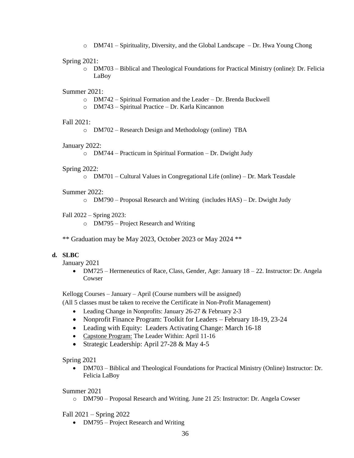$\circ$  DM741 – Spirituality, Diversity, and the Global Landscape – Dr. Hwa Young Chong

#### Spring 2021:

o DM703 – Biblical and Theological Foundations for Practical Ministry (online): Dr. Felicia LaBoy

#### Summer 2021:

- o DM742 Spiritual Formation and the Leader Dr. Brenda Buckwell
- o DM743 Spiritual Practice Dr. Karla Kincannon

#### Fall 2021:

o DM702 – Research Design and Methodology (online) TBA

#### January 2022:

o DM744 – Practicum in Spiritual Formation – Dr. Dwight Judy

### Spring 2022:

o DM701 – Cultural Values in Congregational Life (online) – Dr. Mark Teasdale

#### Summer 2022:

o DM790 – Proposal Research and Writing (includes HAS) – Dr. Dwight Judy

#### Fall 2022 – Spring 2023:

o DM795 – Project Research and Writing

\*\* Graduation may be May 2023, October 2023 or May 2024 \*\*

#### **d. SLBC**

January 2021

• DM725 – Hermeneutics of Race, Class, Gender, Age: January 18 – 22. Instructor: Dr. Angela Cowser

Kellogg Courses – January – April (Course numbers will be assigned)

(All 5 classes must be taken to receive the Certificate in Non-Profit Management)

- Leading Change in Nonprofits: January 26-27 & February 2-3
- Nonprofit Finance Program: Toolkit for Leaders February 18-19, 23-24
- Leading with Equity: Leaders Activating Change: March 16-18
- Capstone Program: The Leader Within: April 11-16
- Strategic Leadership: April 27-28 & May 4-5

### Spring 2021

• DM703 – Biblical and Theological Foundations for Practical Ministry (Online) Instructor: Dr. Felicia LaBoy

Summer 2021

o DM790 – Proposal Research and Writing. June 21 25: Instructor: Dr. Angela Cowser

Fall 2021 – Spring 2022

• DM795 – Project Research and Writing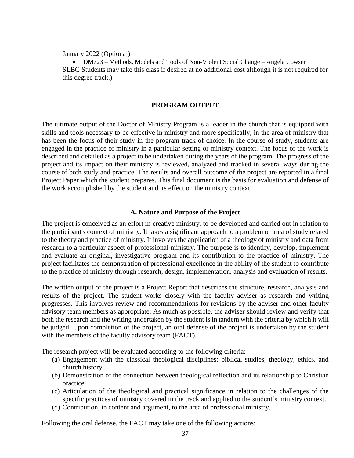#### January 2022 (Optional)

• DM723 – Methods, Models and Tools of Non-Violent Social Change – Angela Cowser SLBC Students may take this class if desired at no additional cost although it is not required for this degree track.)

#### **PROGRAM OUTPUT**

The ultimate output of the Doctor of Ministry Program is a leader in the church that is equipped with skills and tools necessary to be effective in ministry and more specifically, in the area of ministry that has been the focus of their study in the program track of choice. In the course of study, students are engaged in the practice of ministry in a particular setting or ministry context. The focus of the work is described and detailed as a project to be undertaken during the years of the program. The progress of the project and its impact on their ministry is reviewed, analyzed and tracked in several ways during the course of both study and practice. The results and overall outcome of the project are reported in a final Project Paper which the student prepares. This final document is the basis for evaluation and defense of the work accomplished by the student and its effect on the ministry context.

#### **A. Nature and Purpose of the Project**

The project is conceived as an effort in creative ministry, to be developed and carried out in relation to the participant's context of ministry. It takes a significant approach to a problem or area of study related to the theory and practice of ministry. It involves the application of a theology of ministry and data from research to a particular aspect of professional ministry. The purpose is to identify, develop, implement and evaluate an original, investigative program and its contribution to the practice of ministry. The project facilitates the demonstration of professional excellence in the ability of the student to contribute to the practice of ministry through research, design, implementation, analysis and evaluation of results.

The written output of the project is a Project Report that describes the structure, research, analysis and results of the project. The student works closely with the faculty adviser as research and writing progresses. This involves review and recommendations for revisions by the adviser and other faculty advisory team members as appropriate. As much as possible, the adviser should review and verify that both the research and the writing undertaken by the student is in tandem with the criteria by which it will be judged. Upon completion of the project, an oral defense of the project is undertaken by the student with the members of the faculty advisory team (FACT).

The research project will be evaluated according to the following criteria:

- (a) Engagement with the classical theological disciplines: biblical studies, theology, ethics, and church history.
- (b) Demonstration of the connection between theological reflection and its relationship to Christian practice.
- (c) Articulation of the theological and practical significance in relation to the challenges of the specific practices of ministry covered in the track and applied to the student's ministry context.
- (d) Contribution, in content and argument, to the area of professional ministry.

Following the oral defense, the FACT may take one of the following actions: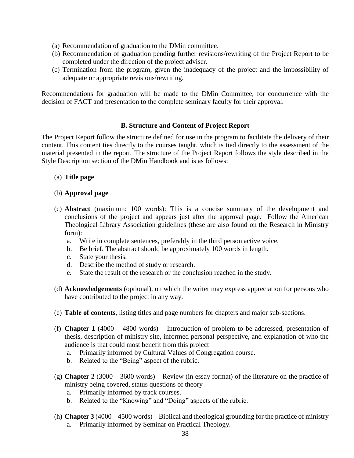- (a) Recommendation of graduation to the DMin committee.
- (b) Recommendation of graduation pending further revisions/rewriting of the Project Report to be completed under the direction of the project adviser.
- (c) Termination from the program, given the inadequacy of the project and the impossibility of adequate or appropriate revisions/rewriting.

Recommendations for graduation will be made to the DMin Committee, for concurrence with the decision of FACT and presentation to the complete seminary faculty for their approval.

# **B. Structure and Content of Project Report**

The Project Report follow the structure defined for use in the program to facilitate the delivery of their content. This content ties directly to the courses taught, which is tied directly to the assessment of the material presented in the report. The structure of the Project Report follows the style described in the Style Description section of the DMin Handbook and is as follows:

# (a) **Title page**

# (b) **Approval page**

- (c) **Abstract** (maximum: 100 words): This is a concise summary of the development and conclusions of the project and appears just after the approval page. Follow the American Theological Library Association guidelines (these are also found on the Research in Ministry form):
	- a. Write in complete sentences, preferably in the third person active voice.
	- b. Be brief. The abstract should be approximately 100 words in length.
	- c. State your thesis.
	- d. Describe the method of study or research.
	- e. State the result of the research or the conclusion reached in the study.
- (d) **Acknowledgements** (optional), on which the writer may express appreciation for persons who have contributed to the project in any way.
- (e) **Table of contents**, listing titles and page numbers for chapters and major sub-sections.
- (f) **Chapter 1** (4000 4800 words) Introduction of problem to be addressed, presentation of thesis, description of ministry site, informed personal perspective, and explanation of who the audience is that could most benefit from this project
	- a. Primarily informed by Cultural Values of Congregation course.
	- b. Related to the "Being" aspect of the rubric.
- (g) **Chapter 2** (3000 3600 words) Review (in essay format) of the literature on the practice of ministry being covered, status questions of theory
	- a. Primarily informed by track courses.
	- b. Related to the "Knowing" and "Doing" aspects of the rubric.
- (h) **Chapter 3** (4000 4500 words) Biblical and theological grounding for the practice of ministry
	- a. Primarily informed by Seminar on Practical Theology.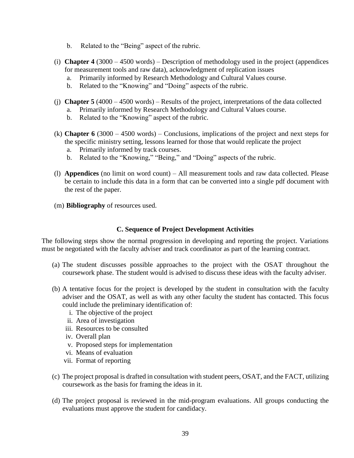- b. Related to the "Being" aspect of the rubric.
- (i) **Chapter 4** (3000 4500 words) Description of methodology used in the project (appendices for measurement tools and raw data), acknowledgment of replication issues
	- a. Primarily informed by Research Methodology and Cultural Values course.
	- b. Related to the "Knowing" and "Doing" aspects of the rubric.
- (j) **Chapter 5** (4000 4500 words) Results of the project, interpretations of the data collected
	- a. Primarily informed by Research Methodology and Cultural Values course.
	- b. Related to the "Knowing" aspect of the rubric.
- (k) **Chapter 6** (3000 4500 words) Conclusions, implications of the project and next steps for the specific ministry setting, lessons learned for those that would replicate the project
	- a. Primarily informed by track courses.
	- b. Related to the "Knowing," "Being," and "Doing" aspects of the rubric.
- (l) **Appendices** (no limit on word count) All measurement tools and raw data collected. Please be certain to include this data in a form that can be converted into a single pdf document with the rest of the paper.
- (m) **Bibliography** of resources used.

#### **C. Sequence of Project Development Activities**

The following steps show the normal progression in developing and reporting the project. Variations must be negotiated with the faculty adviser and track coordinator as part of the learning contract.

- (a) The student discusses possible approaches to the project with the OSAT throughout the coursework phase. The student would is advised to discuss these ideas with the faculty adviser.
- (b) A tentative focus for the project is developed by the student in consultation with the faculty adviser and the OSAT, as well as with any other faculty the student has contacted. This focus could include the preliminary identification of:
	- i. The objective of the project
	- ii. Area of investigation
	- iii. Resources to be consulted
	- iv. Overall plan
	- v. Proposed steps for implementation
	- vi. Means of evaluation
	- vii. Format of reporting
- (c) The project proposal is drafted in consultation with student peers, OSAT, and the FACT, utilizing coursework as the basis for framing the ideas in it.
- (d) The project proposal is reviewed in the mid-program evaluations. All groups conducting the evaluations must approve the student for candidacy.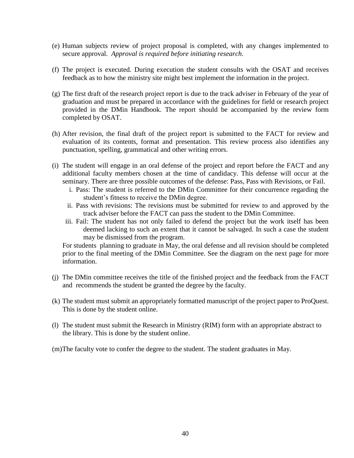- (e) Human subjects review of project proposal is completed, with any changes implemented to secure approval. *Approval is required before initiating research*.
- (f) The project is executed. During execution the student consults with the OSAT and receives feedback as to how the ministry site might best implement the information in the project.
- (g) The first draft of the research project report is due to the track adviser in February of the year of graduation and must be prepared in accordance with the guidelines for field or research project provided in the DMin Handbook. The report should be accompanied by the review form completed by OSAT.
- (h) After revision, the final draft of the project report is submitted to the FACT for review and evaluation of its contents, format and presentation. This review process also identifies any punctuation, spelling, grammatical and other writing errors.
- (i) The student will engage in an oral defense of the project and report before the FACT and any additional faculty members chosen at the time of candidacy. This defense will occur at the seminary. There are three possible outcomes of the defense: Pass, Pass with Revisions, or Fail.
	- i. Pass: The student is referred to the DMin Committee for their concurrence regarding the student's fitness to receive the DMin degree.
	- ii. Pass with revisions: The revisions must be submitted for review to and approved by the track adviser before the FACT can pass the student to the DMin Committee.
	- iii. Fail: The student has not only failed to defend the project but the work itself has been deemed lacking to such an extent that it cannot be salvaged. In such a case the student may be dismissed from the program.

For students planning to graduate in May, the oral defense and all revision should be completed prior to the final meeting of the DMin Committee. See the diagram on the next page for more information.

- (j) The DMin committee receives the title of the finished project and the feedback from the FACT and recommends the student be granted the degree by the faculty.
- (k) The student must submit an appropriately formatted manuscript of the project paper to ProQuest. This is done by the student online.
- (l) The student must submit the Research in Ministry (RIM) form with an appropriate abstract to the library. This is done by the student online.
- (m)The faculty vote to confer the degree to the student. The student graduates in May.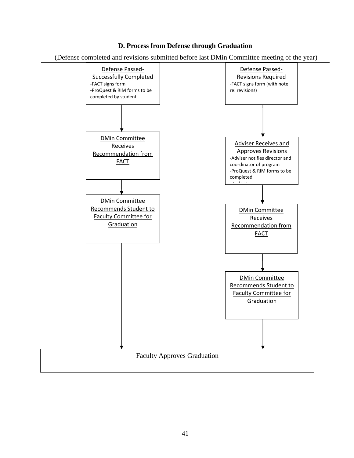# **D. Process from Defense through Graduation**

(Defense completed and revisions submitted before last DMin Committee meeting of the year)

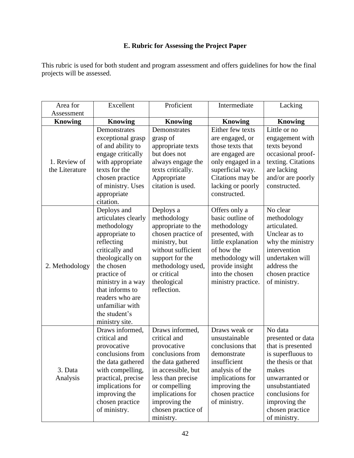# **E. Rubric for Assessing the Project Paper**

This rubric is used for both student and program assessment and offers guidelines for how the final projects will be assessed.

| Area for                       | Excellent                                                                                                                                                                                                                                                             | Proficient                                                                                                                                                                                                                  | Intermediate                                                                                                                                                                            | Lacking                                                                                                                                                                                                           |
|--------------------------------|-----------------------------------------------------------------------------------------------------------------------------------------------------------------------------------------------------------------------------------------------------------------------|-----------------------------------------------------------------------------------------------------------------------------------------------------------------------------------------------------------------------------|-----------------------------------------------------------------------------------------------------------------------------------------------------------------------------------------|-------------------------------------------------------------------------------------------------------------------------------------------------------------------------------------------------------------------|
| Assessment                     |                                                                                                                                                                                                                                                                       |                                                                                                                                                                                                                             |                                                                                                                                                                                         |                                                                                                                                                                                                                   |
| <b>Knowing</b>                 | <b>Knowing</b><br>Demonstrates                                                                                                                                                                                                                                        | <b>Knowing</b><br>Demonstrates                                                                                                                                                                                              | <b>Knowing</b><br>Either few texts                                                                                                                                                      | <b>Knowing</b><br>Little or no                                                                                                                                                                                    |
| 1. Review of<br>the Literature | exceptional grasp<br>of and ability to<br>engage critically<br>with appropriate<br>texts for the<br>chosen practice<br>of ministry. Uses<br>appropriate<br>citation.                                                                                                  | grasp of<br>appropriate texts<br>but does not<br>always engage the<br>texts critically.<br>Appropriate<br>citation is used.                                                                                                 | are engaged, or<br>those texts that<br>are engaged are<br>only engaged in a<br>superficial way.<br>Citations may be<br>lacking or poorly<br>constructed.                                | engagement with<br>texts beyond<br>occasional proof-<br>texting. Citations<br>are lacking<br>and/or are poorly<br>constructed.                                                                                    |
| 2. Methodology                 | Deploys and<br>articulates clearly<br>methodology<br>appropriate to<br>reflecting<br>critically and<br>theologically on<br>the chosen<br>practice of<br>ministry in a way<br>that informs to<br>readers who are<br>unfamiliar with<br>the student's<br>ministry site. | Deploys a<br>methodology<br>appropriate to the<br>chosen practice of<br>ministry, but<br>without sufficient<br>support for the<br>methodology used,<br>or critical<br>theological<br>reflection.                            | Offers only a<br>basic outline of<br>methodology<br>presented, with<br>little explanation<br>of how the<br>methodology will<br>provide insight<br>into the chosen<br>ministry practice. | No clear<br>methodology<br>articulated.<br>Unclear as to<br>why the ministry<br>intervention<br>undertaken will<br>address the<br>chosen practice<br>of ministry.                                                 |
| 3. Data<br>Analysis            | Draws informed,<br>critical and<br>provocative<br>conclusions from<br>the data gathered<br>with compelling,<br>practical, precise<br>implications for<br>improving the<br>chosen practice<br>of ministry.                                                             | Draws informed,<br>critical and<br>provocative<br>conclusions from<br>the data gathered<br>in accessible, but<br>less than precise<br>or compelling<br>implications for<br>improving the<br>chosen practice of<br>ministry. | Draws weak or<br>unsustainable<br>conclusions that<br>demonstrate<br>insufficient<br>analysis of the<br>implications for<br>improving the<br>chosen practice<br>of ministry.            | No data<br>presented or data<br>that is presented<br>is superfluous to<br>the thesis or that<br>makes<br>unwarranted or<br>unsubstantiated<br>conclusions for<br>improving the<br>chosen practice<br>of ministry. |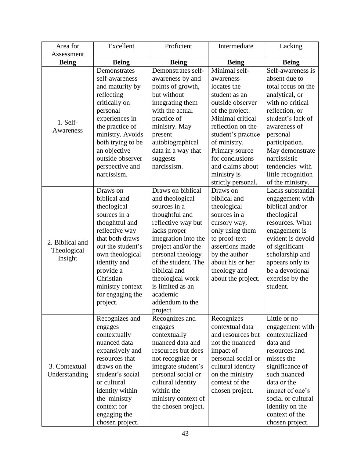| Area for                                  | Excellent                                                                                                                                                                                                                                            | Proficient                                                                                                                                                                                                                                                                                                | Intermediate                                                                                                                                                                                                          | Lacking                                                                                                                                                                                                                                         |
|-------------------------------------------|------------------------------------------------------------------------------------------------------------------------------------------------------------------------------------------------------------------------------------------------------|-----------------------------------------------------------------------------------------------------------------------------------------------------------------------------------------------------------------------------------------------------------------------------------------------------------|-----------------------------------------------------------------------------------------------------------------------------------------------------------------------------------------------------------------------|-------------------------------------------------------------------------------------------------------------------------------------------------------------------------------------------------------------------------------------------------|
| Assessment                                |                                                                                                                                                                                                                                                      |                                                                                                                                                                                                                                                                                                           |                                                                                                                                                                                                                       |                                                                                                                                                                                                                                                 |
| <b>Being</b>                              | <b>Being</b>                                                                                                                                                                                                                                         | <b>Being</b>                                                                                                                                                                                                                                                                                              | <b>Being</b>                                                                                                                                                                                                          | <b>Being</b>                                                                                                                                                                                                                                    |
| 1. Self-<br>Awareness                     | Demonstrates<br>self-awareness<br>and maturity by<br>reflecting<br>critically on<br>personal<br>experiences in<br>the practice of<br>ministry. Avoids<br>both trying to be<br>an objective<br>outside observer                                       | Demonstrates self-<br>awareness by and<br>points of growth,<br>but without<br>integrating them<br>with the actual<br>practice of<br>ministry. May<br>present<br>autobiographical<br>data in a way that<br>suggests                                                                                        | Minimal self-<br>awareness<br>locates the<br>student as an<br>outside observer<br>of the project.<br>Minimal critical<br>reflection on the<br>student's practice<br>of ministry.<br>Primary source<br>for conclusions | Self-awareness is<br>absent due to<br>total focus on the<br>analytical, or<br>with no critical<br>reflection, or<br>student's lack of<br>awareness of<br>personal<br>participation.<br>May demonstrate<br>narcissistic                          |
|                                           | perspective and<br>narcissism.                                                                                                                                                                                                                       | narcissism.                                                                                                                                                                                                                                                                                               | and claims about<br>ministry is<br>strictly personal.                                                                                                                                                                 | tendencies with<br>little recognition<br>of the ministry.                                                                                                                                                                                       |
| 2. Biblical and<br>Theological<br>Insight | Draws on<br>biblical and<br>theological<br>sources in a<br>thoughtful and<br>reflective way<br>that both draws<br>out the student's<br>own theological<br>identity and<br>provide a<br>Christian<br>ministry context<br>for engaging the<br>project. | Draws on biblical<br>and theological<br>sources in a<br>thoughtful and<br>reflective way but<br>lacks proper<br>integration into the<br>project and/or the<br>personal theology<br>of the student. The<br>biblical and<br>theological work<br>is limited as an<br>academic<br>addendum to the<br>project. | Draws on<br>biblical and<br>theological<br>sources in a<br>cursory way,<br>only using them<br>to proof-text<br>assertions made<br>by the author<br>about his or her<br>theology and<br>about the project.             | Lacks substantial<br>engagement with<br>biblical and/or<br>theological<br>resources. What<br>engagement is<br>evident is devoid<br>of significant<br>scholarship and<br>appears only to<br>be a devotional<br>exercise by the<br>student.       |
| 3. Contextual<br>Understanding            | Recognizes and<br>engages<br>contextually<br>nuanced data<br>expansively and<br>resources that<br>draws on the<br>student's social<br>or cultural<br>identity within<br>the ministry<br>context for<br>engaging the<br>chosen project.               | Recognizes and<br>engages<br>contextually<br>nuanced data and<br>resources but does<br>not recognize or<br>integrate student's<br>personal social or<br>cultural identity<br>within the<br>ministry context of<br>the chosen project.                                                                     | Recognizes<br>contextual data<br>and resources but<br>not the nuanced<br>impact of<br>personal social or<br>cultural identity<br>on the ministry<br>context of the<br>chosen project.                                 | Little or no<br>engagement with<br>contextualized<br>data and<br>resources and<br>misses the<br>significance of<br>such nuanced<br>data or the<br>impact of one's<br>social or cultural<br>identity on the<br>context of the<br>chosen project. |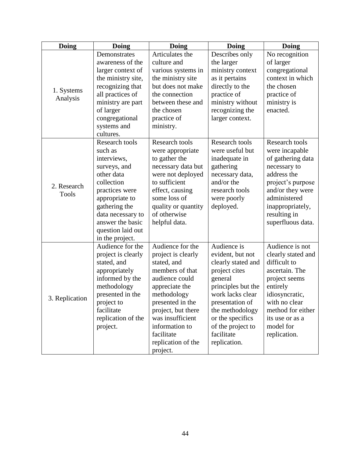| <b>Doing</b>   | Doing                 | <b>Doing</b>        | <b>Doing</b>       | <b>Doing</b>       |
|----------------|-----------------------|---------------------|--------------------|--------------------|
|                | Demonstrates          | Articulates the     | Describes only     | No recognition     |
|                | awareness of the      | culture and         | the larger         | of larger          |
|                | larger context of     | various systems in  | ministry context   | congregational     |
|                | the ministry site,    | the ministry site   | as it pertains     | context in which   |
|                | recognizing that      | but does not make   | directly to the    | the chosen         |
| 1. Systems     | all practices of      | the connection      | practice of        | practice of        |
| Analysis       | ministry are part     | between these and   | ministry without   | ministry is        |
|                | of larger             | the chosen          | recognizing the    | enacted.           |
|                | congregational        | practice of         | larger context.    |                    |
|                | systems and           | ministry.           |                    |                    |
|                | cultures.             |                     |                    |                    |
|                | <b>Research tools</b> | Research tools      | Research tools     | Research tools     |
|                | such as               | were appropriate    | were useful but    | were incapable     |
|                | interviews,           | to gather the       | inadequate in      | of gathering data  |
|                | surveys, and          | necessary data but  | gathering          | necessary to       |
|                | other data            | were not deployed   | necessary data,    | address the        |
|                | collection            | to sufficient       | and/or the         | project's purpose  |
| 2. Research    | practices were        | effect, causing     | research tools     | and/or they were   |
| <b>Tools</b>   | appropriate to        | some loss of        | were poorly        | administered       |
|                | gathering the         | quality or quantity | deployed.          | inappropriately,   |
|                | data necessary to     | of otherwise        |                    | resulting in       |
|                | answer the basic      | helpful data.       |                    | superfluous data.  |
|                | question laid out     |                     |                    |                    |
|                | in the project.       |                     |                    |                    |
|                | Audience for the      | Audience for the    | Audience is        | Audience is not    |
|                | project is clearly    | project is clearly  | evident, but not   | clearly stated and |
|                | stated, and           | stated, and         | clearly stated and | difficult to       |
|                | appropriately         | members of that     | project cites      | ascertain. The     |
|                | informed by the       | audience could      | general            | project seems      |
|                | methodology           | appreciate the      | principles but the | entirely           |
|                | presented in the      | methodology         | work lacks clear   | idiosyncratic,     |
| 3. Replication | project to            | presented in the    | presentation of    | with no clear      |
|                | facilitate            | project, but there  | the methodology    | method for either  |
|                | replication of the    | was insufficient    | or the specifics   | its use or as a    |
|                | project.              | information to      | of the project to  | model for          |
|                |                       | facilitate          | facilitate         | replication.       |
|                |                       | replication of the  | replication.       |                    |
|                |                       | project.            |                    |                    |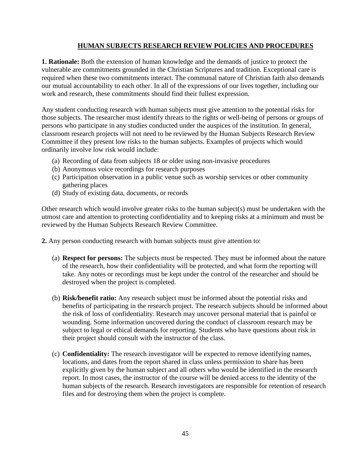# **HUMAN SUBJECTS RESEARCH REVIEW POLICIES AND PROCEDURES**

**1. Rationale:** Both the extension of human knowledge and the demands of justice to protect the vulnerable are commitments grounded in the Christian Scriptures and tradition. Exceptional care is required when these two commitments interact. The communal nature of Christian faith also demands our mutual accountability to each other. In all of the expressions of our lives together, including our work and research, these commitments should find their fullest expression.

Any student conducting research with human subjects must give attention to the potential risks for those subjects. The researcher must identify threats to the rights or well-being of persons or groups of persons who participate in any studies conducted under the auspices of the institution. In general, classroom research projects will not need to be reviewed by the Human Subjects Research Review Committee if they present low risks to the human subjects. Examples of projects which would ordinarily involve low risk would include:

- (a) Recording of data from subjects 18 or older using non-invasive procedures
- (b) Anonymous voice recordings for research purposes
- (c) Participation observation in a public venue such as worship services or other community gathering places
- (d) Study of existing data, documents, or records

Other research which would involve greater risks to the human subject(s) must be undertaken with the utmost care and attention to protecting confidentiality and to keeping risks at a minimum and must be reviewed by the Human Subjects Research Review Committee.

**2.** Any person conducting research with human subjects must give attention to:

- (a) **Respect for persons:** The subjects must be respected. They must be informed about the nature of the research, how their confidentiality will be protected, and what form the reporting will take. Any notes or recordings must be kept under the control of the researcher and should be destroyed when the project is completed.
- (b) **Risk/benefit ratio:** Any research subject must be informed about the potential risks and benefits of participating in the research project. The research subjects should be informed about the risk of loss of confidentiality. Research may uncover personal material that is painful or wounding. Some information uncovered during the conduct of classroom research may be subject to legal or ethical demands for reporting. Students who have questions about risk in their project should consult with the instructor of the class.
- (c) **Confidentiality:** The research investigator will be expected to remove identifying names, locations, and dates from the report shared in class unless permission to share has been explicitly given by the human subject and all others who would be identified in the research report. In most cases, the instructor of the course will be denied access to the identity of the human subjects of the research. Research investigators are responsible for retention of research files and for destroying them when the project is complete.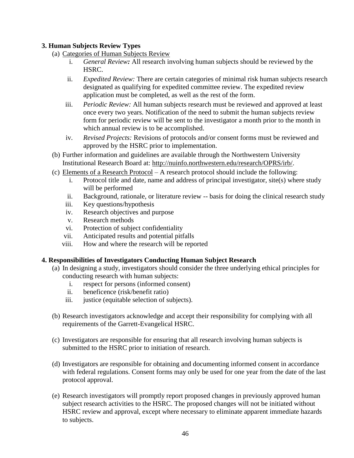# **3. Human Subjects Review Types**

- (a) Categories of Human Subjects Review
	- i. *General Review:* All research involving human subjects should be reviewed by the HSRC.
	- ii. *Expedited Review:* There are certain categories of minimal risk human subjects research designated as qualifying for expedited committee review. The expedited review application must be completed, as well as the rest of the form.
	- iii. *Periodic Review:* All human subjects research must be reviewed and approved at least once every two years. Notification of the need to submit the human subjects review form for periodic review will be sent to the investigator a month prior to the month in which annual review is to be accomplished.
	- iv. *Revised Projects:* Revisions of protocols and/or consent forms must be reviewed and approved by the HSRC prior to implementation.
- (b) Further information and guidelines are available through the Northwestern University Institutional Research Board at: http://nuinfo.northwestern.edu/research/OPRS/irb/.
- (c) Elements of a Research Protocol A research protocol should include the following:
	- i. Protocol title and date, name and address of principal investigator, site(s) where study will be performed
	- ii. Background, rationale, or literature review -- basis for doing the clinical research study
	- iii. Key questions/hypothesis
	- iv. Research objectives and purpose
	- v. Research methods
	- vi. Protection of subject confidentiality
	- vii. Anticipated results and potential pitfalls
	- viii. How and where the research will be reported

# **4. Responsibilities of Investigators Conducting Human Subject Research**

- (a) In designing a study, investigators should consider the three underlying ethical principles for conducting research with human subjects:
	- i. respect for persons (informed consent)
	- ii. beneficence (risk/benefit ratio)
	- iii. justice (equitable selection of subjects).
- (b) Research investigators acknowledge and accept their responsibility for complying with all requirements of the Garrett-Evangelical HSRC.
- (c) Investigators are responsible for ensuring that all research involving human subjects is submitted to the HSRC prior to initiation of research.
- (d) Investigators are responsible for obtaining and documenting informed consent in accordance with federal regulations. Consent forms may only be used for one year from the date of the last protocol approval.
- (e) Research investigators will promptly report proposed changes in previously approved human subject research activities to the HSRC. The proposed changes will not be initiated without HSRC review and approval, except where necessary to eliminate apparent immediate hazards to subjects.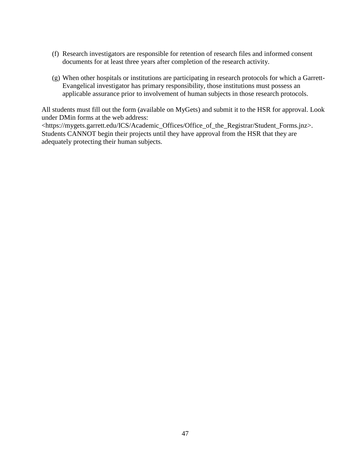- (f) Research investigators are responsible for retention of research files and informed consent documents for at least three years after completion of the research activity.
- (g) When other hospitals or institutions are participating in research protocols for which a Garrett-Evangelical investigator has primary responsibility, those institutions must possess an applicable assurance prior to involvement of human subjects in those research protocols.

All students must fill out the form (available on MyGets) and submit it to the HSR for approval. Look under DMin forms at the web address:

<https://mygets.garrett.edu/ICS/Academic\_Offices/Office\_of\_the\_Registrar/Student\_Forms.jnz>. Students CANNOT begin their projects until they have approval from the HSR that they are adequately protecting their human subjects.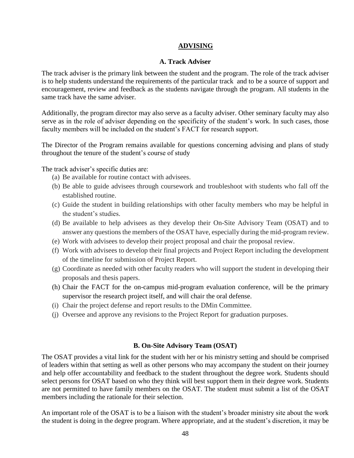# **ADVISING**

#### **A. Track Adviser**

The track adviser is the primary link between the student and the program. The role of the track adviser is to help students understand the requirements of the particular track and to be a source of support and encouragement, review and feedback as the students navigate through the program. All students in the same track have the same adviser.

Additionally, the program director may also serve as a faculty adviser. Other seminary faculty may also serve as in the role of adviser depending on the specificity of the student's work. In such cases, those faculty members will be included on the student's FACT for research support.

The Director of the Program remains available for questions concerning advising and plans of study throughout the tenure of the student's course of study

The track adviser's specific duties are:

- (a) Be available for routine contact with advisees.
- (b) Be able to guide advisees through coursework and troubleshoot with students who fall off the established routine.
- (c) Guide the student in building relationships with other faculty members who may be helpful in the student's studies.
- (d) Be available to help advisees as they develop their On-Site Advisory Team (OSAT) and to answer any questions the members of the OSAT have, especially during the mid-program review.
- (e) Work with advisees to develop their project proposal and chair the proposal review.
- (f) Work with advisees to develop their final projects and Project Report including the development of the timeline for submission of Project Report.
- (g) Coordinate as needed with other faculty readers who will support the student in developing their proposals and thesis papers.
- (h) Chair the FACT for the on-campus mid-program evaluation conference, will be the primary supervisor the research project itself, and will chair the oral defense.
- (i) Chair the project defense and report results to the DMin Committee.
- (j) Oversee and approve any revisions to the Project Report for graduation purposes.

#### **B. On-Site Advisory Team (OSAT)**

The OSAT provides a vital link for the student with her or his ministry setting and should be comprised of leaders within that setting as well as other persons who may accompany the student on their journey and help offer accountability and feedback to the student throughout the degree work. Students should select persons for OSAT based on who they think will best support them in their degree work. Students are not permitted to have family members on the OSAT. The student must submit a list of the OSAT members including the rationale for their selection.

An important role of the OSAT is to be a liaison with the student's broader ministry site about the work the student is doing in the degree program. Where appropriate, and at the student's discretion, it may be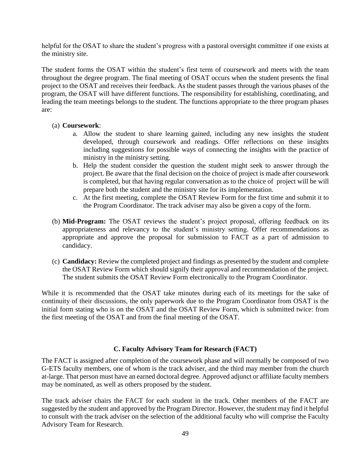helpful for the OSAT to share the student's progress with a pastoral oversight committee if one exists at the ministry site.

The student forms the OSAT within the student's first term of coursework and meets with the team throughout the degree program. The final meeting of OSAT occurs when the student presents the final project to the OSAT and receives their feedback. As the student passes through the various phases of the program, the OSAT will have different functions. The responsibility for establishing, coordinating, and leading the team meetings belongs to the student. The functions appropriate to the three program phases are:

# (a) **Coursework**:

- a. Allow the student to share learning gained, including any new insights the student developed, through coursework and readings. Offer reflections on these insights including suggestions for possible ways of connecting the insights with the practice of ministry in the ministry setting.
- b. Help the student consider the question the student might seek to answer through the project. Be aware that the final decision on the choice of project is made after coursework is completed, but that having regular conversation as to the choice of project will be will prepare both the student and the ministry site for its implementation.
- c. At the first meeting, complete the OSAT Review Form for the first time and submit it to the Program Coordinator. The track adviser may also be given a copy of the form.
- (b) **Mid-Program:** The OSAT reviews the student's project proposal, offering feedback on its appropriateness and relevancy to the student's ministry setting. Offer recommendations as appropriate and approve the proposal for submission to FACT as a part of admission to candidacy.
- (c) **Candidacy:** Review the completed project and findings as presented by the student and complete the OSAT Review Form which should signify their approval and recommendation of the project. The student submits the OSAT Review Form electronically to the Program Coordinator.

While it is recommended that the OSAT take minutes during each of its meetings for the sake of continuity of their discussions, the only paperwork due to the Program Coordinator from OSAT is the initial form stating who is on the OSAT and the OSAT Review Form, which is submitted twice: from the first meeting of the OSAT and from the final meeting of the OSAT.

# **C. Faculty Advisory Team for Research (FACT)**

The FACT is assigned after completion of the coursework phase and will normally be composed of two G-ETS faculty members, one of whom is the track adviser, and the third may member from the church at-large. That person must have an earned doctoral degree. Approved adjunct or affiliate faculty members may be nominated, as well as others proposed by the student.

The track adviser chairs the FACT for each student in the track. Other members of the FACT are suggested by the student and approved by the Program Director. However, the student may find it helpful to consult with the track adviser on the selection of the additional faculty who will comprise the Faculty Advisory Team for Research.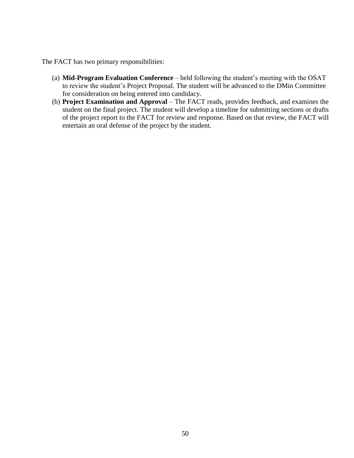The FACT has two primary responsibilities:

- (a) **Mid-Program Evaluation Conference** held following the student's meeting with the OSAT to review the student's Project Proposal. The student will be advanced to the DMin Committee for consideration on being entered into candidacy.
- (b) **Project Examination and Approval** The FACT reads, provides feedback, and examines the student on the final project. The student will develop a timeline for submitting sections or drafts of the project report to the FACT for review and response. Based on that review, the FACT will entertain an oral defense of the project by the student.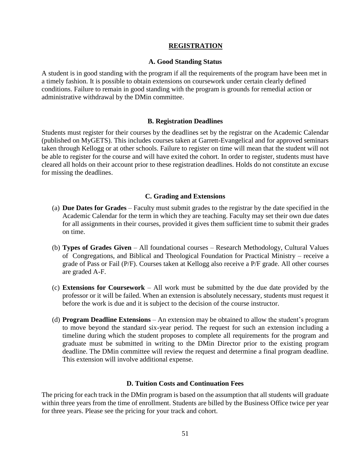#### **REGISTRATION**

#### **A. Good Standing Status**

A student is in good standing with the program if all the requirements of the program have been met in a timely fashion. It is possible to obtain extensions on coursework under certain clearly defined conditions. Failure to remain in good standing with the program is grounds for remedial action or administrative withdrawal by the DMin committee.

#### **B. Registration Deadlines**

Students must register for their courses by the deadlines set by the registrar on the Academic Calendar (published on MyGETS). This includes courses taken at Garrett-Evangelical and for approved seminars taken through Kellogg or at other schools. Failure to register on time will mean that the student will not be able to register for the course and will have exited the cohort. In order to register, students must have cleared all holds on their account prior to these registration deadlines. Holds do not constitute an excuse for missing the deadlines.

#### **C. Grading and Extensions**

- (a) **Due Dates for Grades** Faculty must submit grades to the registrar by the date specified in the Academic Calendar for the term in which they are teaching. Faculty may set their own due dates for all assignments in their courses, provided it gives them sufficient time to submit their grades on time.
- (b) **Types of Grades Given** All foundational courses Research Methodology, Cultural Values of Congregations, and Biblical and Theological Foundation for Practical Ministry – receive a grade of Pass or Fail (P/F). Courses taken at Kellogg also receive a P/F grade. All other courses are graded A-F.
- (c) **Extensions for Coursework** All work must be submitted by the due date provided by the professor or it will be failed. When an extension is absolutely necessary, students must request it before the work is due and it is subject to the decision of the course instructor.
- (d) **Program Deadline Extensions** An extension may be obtained to allow the student's program to move beyond the standard six-year period. The request for such an extension including a timeline during which the student proposes to complete all requirements for the program and graduate must be submitted in writing to the DMin Director prior to the existing program deadline. The DMin committee will review the request and determine a final program deadline. This extension will involve additional expense.

#### **D. Tuition Costs and Continuation Fees**

The pricing for each track in the DMin program is based on the assumption that all students will graduate within three years from the time of enrollment. Students are billed by the Business Office twice per year for three years. Please see the pricing for your track and cohort.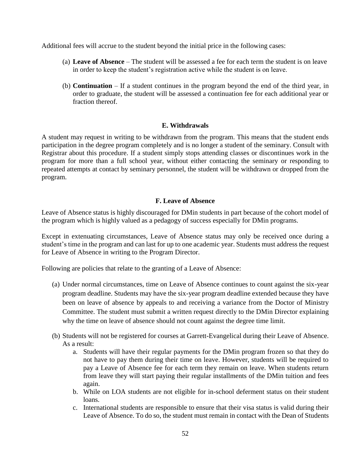Additional fees will accrue to the student beyond the initial price in the following cases:

- (a) **Leave of Absence** The student will be assessed a fee for each term the student is on leave in order to keep the student's registration active while the student is on leave.
- (b) **Continuation** If a student continues in the program beyond the end of the third year, in order to graduate, the student will be assessed a continuation fee for each additional year or fraction thereof.

# **E. Withdrawals**

A student may request in writing to be withdrawn from the program. This means that the student ends participation in the degree program completely and is no longer a student of the seminary. Consult with Registrar about this procedure. If a student simply stops attending classes or discontinues work in the program for more than a full school year, without either contacting the seminary or responding to repeated attempts at contact by seminary personnel, the student will be withdrawn or dropped from the program.

# **F. Leave of Absence**

Leave of Absence status is highly discouraged for DMin students in part because of the cohort model of the program which is highly valued as a pedagogy of success especially for DMin programs.

Except in extenuating circumstances, Leave of Absence status may only be received once during a student's time in the program and can last for up to one academic year. Students must address the request for Leave of Absence in writing to the Program Director.

Following are policies that relate to the granting of a Leave of Absence:

- (a) Under normal circumstances, time on Leave of Absence continues to count against the six-year program deadline. Students may have the six-year program deadline extended because they have been on leave of absence by appeals to and receiving a variance from the Doctor of Ministry Committee. The student must submit a written request directly to the DMin Director explaining why the time on leave of absence should not count against the degree time limit.
- (b) Students will not be registered for courses at Garrett-Evangelical during their Leave of Absence. As a result:
	- a. Students will have their regular payments for the DMin program frozen so that they do not have to pay them during their time on leave. However, students will be required to pay a Leave of Absence fee for each term they remain on leave. When students return from leave they will start paying their regular installments of the DMin tuition and fees again.
	- b. While on LOA students are not eligible for in-school deferment status on their student loans.
	- c. International students are responsible to ensure that their visa status is valid during their Leave of Absence. To do so, the student must remain in contact with the Dean of Students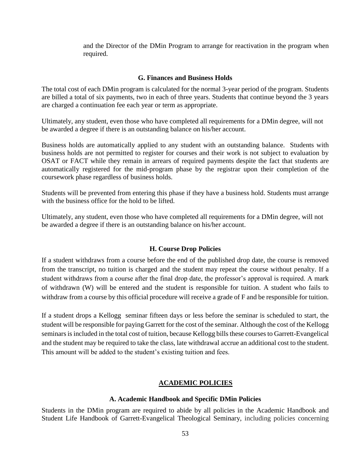and the Director of the DMin Program to arrange for reactivation in the program when required.

#### **G. Finances and Business Holds**

The total cost of each DMin program is calculated for the normal 3-year period of the program. Students are billed a total of six payments, two in each of three years. Students that continue beyond the 3 years are charged a continuation fee each year or term as appropriate.

Ultimately, any student, even those who have completed all requirements for a DMin degree, will not be awarded a degree if there is an outstanding balance on his/her account.

Business holds are automatically applied to any student with an outstanding balance. Students with business holds are not permitted to register for courses and their work is not subject to evaluation by OSAT or FACT while they remain in arrears of required payments despite the fact that students are automatically registered for the mid-program phase by the registrar upon their completion of the coursework phase regardless of business holds.

Students will be prevented from entering this phase if they have a business hold. Students must arrange with the business office for the hold to be lifted.

Ultimately, any student, even those who have completed all requirements for a DMin degree, will not be awarded a degree if there is an outstanding balance on his/her account.

#### **H. Course Drop Policies**

If a student withdraws from a course before the end of the published drop date, the course is removed from the transcript, no tuition is charged and the student may repeat the course without penalty. If a student withdraws from a course after the final drop date, the professor's approval is required. A mark of withdrawn (W) will be entered and the student is responsible for tuition. A student who fails to withdraw from a course by this official procedure will receive a grade of F and be responsible for tuition.

If a student drops a Kellogg seminar fifteen days or less before the seminar is scheduled to start, the student will be responsible for paying Garrett for the cost of the seminar. Although the cost of the Kellogg seminars is included in the total cost of tuition, because Kellogg bills these courses to Garrett-Evangelical and the student may be required to take the class, late withdrawal accrue an additional cost to the student. This amount will be added to the student's existing tuition and fees.

#### **ACADEMIC POLICIES**

#### **A. Academic Handbook and Specific DMin Policies**

Students in the DMin program are required to abide by all policies in the Academic Handbook and Student Life Handbook of Garrett-Evangelical Theological Seminary, including policies concerning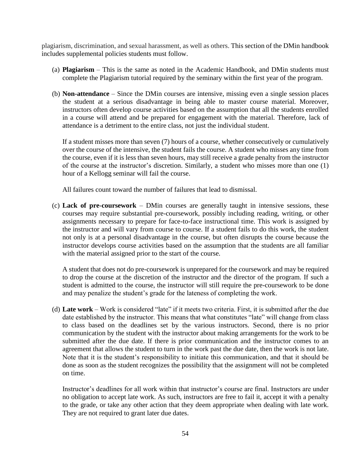plagiarism, discrimination, and sexual harassment, as well as others. This section of the DMin handbook includes supplemental policies students must follow.

- (a) **Plagiarism** This is the same as noted in the Academic Handbook, and DMin students must complete the Plagiarism tutorial required by the seminary within the first year of the program.
- (b) **Non-attendance** Since the DMin courses are intensive, missing even a single session places the student at a serious disadvantage in being able to master course material. Moreover, instructors often develop course activities based on the assumption that all the students enrolled in a course will attend and be prepared for engagement with the material. Therefore, lack of attendance is a detriment to the entire class, not just the individual student.

If a student misses more than seven (7) hours of a course, whether consecutively or cumulatively over the course of the intensive, the student fails the course. A student who misses any time from the course, even if it is less than seven hours, may still receive a grade penalty from the instructor of the course at the instructor's discretion. Similarly, a student who misses more than one (1) hour of a Kellogg seminar will fail the course.

All failures count toward the number of failures that lead to dismissal.

(c) **Lack of pre-coursework** – DMin courses are generally taught in intensive sessions, these courses may require substantial pre-coursework, possibly including reading, writing, or other assignments necessary to prepare for face-to-face instructional time. This work is assigned by the instructor and will vary from course to course. If a student fails to do this work, the student not only is at a personal disadvantage in the course, but often disrupts the course because the instructor develops course activities based on the assumption that the students are all familiar with the material assigned prior to the start of the course.

A student that does not do pre-coursework is unprepared for the coursework and may be required to drop the course at the discretion of the instructor and the director of the program. If such a student is admitted to the course, the instructor will still require the pre-coursework to be done and may penalize the student's grade for the lateness of completing the work.

(d) **Late work** – Work is considered "late" if it meets two criteria. First, it is submitted after the due date established by the instructor. This means that what constitutes "late" will change from class to class based on the deadlines set by the various instructors. Second, there is no prior communication by the student with the instructor about making arrangements for the work to be submitted after the due date. If there is prior communication and the instructor comes to an agreement that allows the student to turn in the work past the due date, then the work is not late. Note that it is the student's responsibility to initiate this communication, and that it should be done as soon as the student recognizes the possibility that the assignment will not be completed on time.

Instructor's deadlines for all work within that instructor's course are final. Instructors are under no obligation to accept late work. As such, instructors are free to fail it, accept it with a penalty to the grade, or take any other action that they deem appropriate when dealing with late work. They are not required to grant later due dates.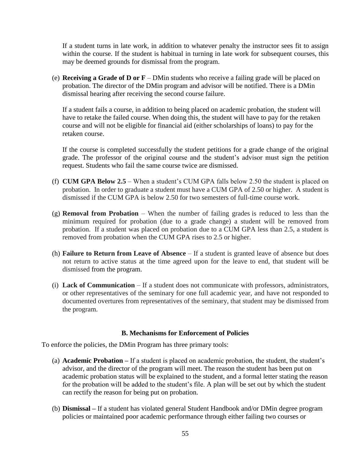If a student turns in late work, in addition to whatever penalty the instructor sees fit to assign within the course. If the student is habitual in turning in late work for subsequent courses, this may be deemed grounds for dismissal from the program.

(e) **Receiving a Grade of D or F** – DMin students who receive a failing grade will be placed on probation. The director of the DMin program and advisor will be notified. There is a DMin dismissal hearing after receiving the second course failure.

If a student fails a course, in addition to being placed on academic probation, the student will have to retake the failed course. When doing this, the student will have to pay for the retaken course and will not be eligible for financial aid (either scholarships of loans) to pay for the retaken course.

If the course is completed successfully the student petitions for a grade change of the original grade. The professor of the original course and the student's advisor must sign the petition request. Students who fail the same course twice are dismissed.

- (f) **CUM GPA Below 2.5** When a student's CUM GPA falls below 2.50 the student is placed on probation. In order to graduate a student must have a CUM GPA of 2.50 or higher. A student is dismissed if the CUM GPA is below 2.50 for two semesters of full-time course work.
- (g) **Removal from Probation** When the number of failing grades is reduced to less than the minimum required for probation (due to a grade change) a student will be removed from probation. If a student was placed on probation due to a CUM GPA less than 2.5, a student is removed from probation when the CUM GPA rises to 2.5 or higher.
- (h) **Failure to Return from Leave of Absence** If a student is granted leave of absence but does not return to active status at the time agreed upon for the leave to end, that student will be dismissed from the program.
- (i) **Lack of Communication** If a student does not communicate with professors, administrators, or other representatives of the seminary for one full academic year, and have not responded to documented overtures from representatives of the seminary, that student may be dismissed from the program.

#### **B. Mechanisms for Enforcement of Policies**

To enforce the policies, the DMin Program has three primary tools:

- (a) **Academic Probation –** If a student is placed on academic probation, the student, the student's advisor, and the director of the program will meet. The reason the student has been put on academic probation status will be explained to the student, and a formal letter stating the reason for the probation will be added to the student's file. A plan will be set out by which the student can rectify the reason for being put on probation.
- (b) **Dismissal –** If a student has violated general Student Handbook and/or DMin degree program policies or maintained poor academic performance through either failing two courses or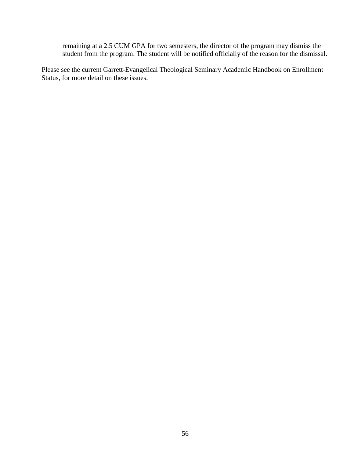remaining at a 2.5 CUM GPA for two semesters, the director of the program may dismiss the student from the program. The student will be notified officially of the reason for the dismissal.

Please see the current Garrett-Evangelical Theological Seminary Academic Handbook on Enrollment Status, for more detail on these issues.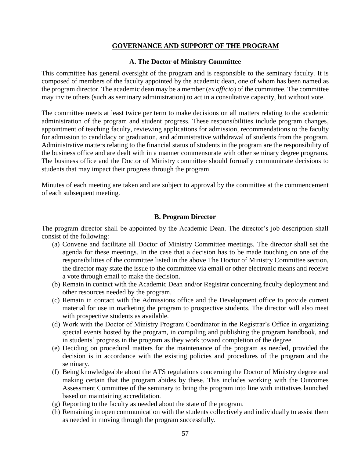# **GOVERNANCE AND SUPPORT OF THE PROGRAM**

#### **A. The Doctor of Ministry Committee**

This committee has general oversight of the program and is responsible to the seminary faculty. It is composed of members of the faculty appointed by the academic dean, one of whom has been named as the program director. The academic dean may be a member (*ex officio*) of the committee. The committee may invite others (such as seminary administration) to act in a consultative capacity, but without vote.

The committee meets at least twice per term to make decisions on all matters relating to the academic administration of the program and student progress. These responsibilities include program changes, appointment of teaching faculty, reviewing applications for admission, recommendations to the faculty for admission to candidacy or graduation, and administrative withdrawal of students from the program. Administrative matters relating to the financial status of students in the program are the responsibility of the business office and are dealt with in a manner commensurate with other seminary degree programs. The business office and the Doctor of Ministry committee should formally communicate decisions to students that may impact their progress through the program.

Minutes of each meeting are taken and are subject to approval by the committee at the commencement of each subsequent meeting.

#### **B. Program Director**

The program director shall be appointed by the Academic Dean. The director's job description shall consist of the following:

- (a) Convene and facilitate all Doctor of Ministry Committee meetings. The director shall set the agenda for these meetings. In the case that a decision has to be made touching on one of the responsibilities of the committee listed in the above The Doctor of Ministry Committee section, the director may state the issue to the committee via email or other electronic means and receive a vote through email to make the decision.
- (b) Remain in contact with the Academic Dean and/or Registrar concerning faculty deployment and other resources needed by the program.
- (c) Remain in contact with the Admissions office and the Development office to provide current material for use in marketing the program to prospective students. The director will also meet with prospective students as available.
- (d) Work with the Doctor of Ministry Program Coordinator in the Registrar's Office in organizing special events hosted by the program, in compiling and publishing the program handbook, and in students' progress in the program as they work toward completion of the degree.
- (e) Deciding on procedural matters for the maintenance of the program as needed, provided the decision is in accordance with the existing policies and procedures of the program and the seminary.
- (f) Being knowledgeable about the ATS regulations concerning the Doctor of Ministry degree and making certain that the program abides by these. This includes working with the Outcomes Assessment Committee of the seminary to bring the program into line with initiatives launched based on maintaining accreditation.
- (g) Reporting to the faculty as needed about the state of the program.
- (h) Remaining in open communication with the students collectively and individually to assist them as needed in moving through the program successfully.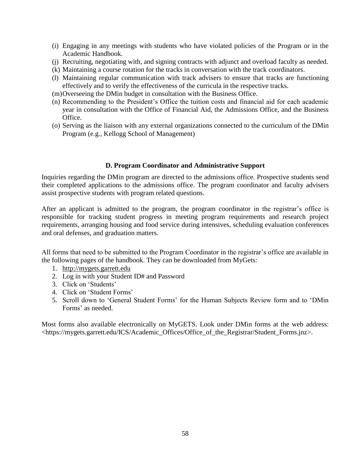- (i) Engaging in any meetings with students who have violated policies of the Program or in the Academic Handbook.
- (j) Recruiting, negotiating with, and signing contracts with adjunct and overload faculty as needed.
- (k) Maintaining a course rotation for the tracks in conversation with the track coordinators.
- (l) Maintaining regular communication with track advisers to ensure that tracks are functioning effectively and to verify the effectiveness of the curricula in the respective tracks.
- (m)Overseeing the DMin budget in consultation with the Business Office.
- (n) Recommending to the President's Office the tuition costs and financial aid for each academic year in consultation with the Office of Financial Aid, the Admissions Office, and the Business Office.
- (o) Serving as the liaison with any external organizations connected to the curriculum of the DMin Program (e.g., Kellogg School of Management)

# **D. Program Coordinator and Administrative Support**

Inquiries regarding the DMin program are directed to the admissions office. Prospective students send their completed applications to the admissions office. The program coordinator and faculty advisers assist prospective students with program related questions.

After an applicant is admitted to the program, the program coordinator in the registrar's office is responsible for tracking student progress in meeting program requirements and research project requirements, arranging housing and food service during intensives, scheduling evaluation conferences and oral defenses, and graduation matters.

All forms that need to be submitted to the Program Coordinator in the registrar's office are available in the following pages of the handbook. They can be downloaded from MyGets:

- 1. [http://mygets.garrett.edu](http://mygets.garrett.edu/)
- 2. Log in with your Student ID# and Password
- 3. Click on 'Students'
- 4. Click on 'Student Forms'
- 5. Scroll down to 'General Student Forms' for the Human Subjects Review form and to 'DMin Forms' as needed.

Most forms also available electronically on MyGETS. Look under DMin forms at the web address: <https://mygets.garrett.edu/ICS/Academic\_Offices/Office\_of\_the\_Registrar/Student\_Forms.jnz>.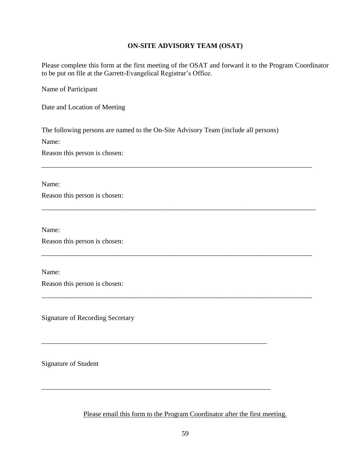# **ON-SITE ADVISORY TEAM (OSAT)**

Please complete this form at the first meeting of the OSAT and forward it to the Program Coordinator to be put on file at the Garrett-Evangelical Registrar's Office.

Name of Participant

Date and Location of Meeting

The following persons are named to the On-Site Advisory Team (include all persons)

\_\_\_\_\_\_\_\_\_\_\_\_\_\_\_\_\_\_\_\_\_\_\_\_\_\_\_\_\_\_\_\_\_\_\_\_\_\_\_\_\_\_\_\_\_\_\_\_\_\_\_\_\_\_\_\_\_\_\_\_\_\_\_\_\_\_\_\_\_\_\_\_\_\_\_\_\_\_

\_\_\_\_\_\_\_\_\_\_\_\_\_\_\_\_\_\_\_\_\_\_\_\_\_\_\_\_\_\_\_\_\_\_\_\_\_\_\_\_\_\_\_\_\_\_\_\_\_\_\_\_\_\_\_\_\_\_\_\_\_\_\_\_\_\_\_\_\_\_\_\_\_\_\_\_\_\_\_

\_\_\_\_\_\_\_\_\_\_\_\_\_\_\_\_\_\_\_\_\_\_\_\_\_\_\_\_\_\_\_\_\_\_\_\_\_\_\_\_\_\_\_\_\_\_\_\_\_\_\_\_\_\_\_\_\_\_\_\_\_\_\_\_\_\_\_\_\_\_\_\_\_\_\_\_\_\_

\_\_\_\_\_\_\_\_\_\_\_\_\_\_\_\_\_\_\_\_\_\_\_\_\_\_\_\_\_\_\_\_\_\_\_\_\_\_\_\_\_\_\_\_\_\_\_\_\_\_\_\_\_\_\_\_\_\_\_\_\_\_\_\_\_\_\_\_\_\_\_\_\_\_\_\_\_\_

\_\_\_\_\_\_\_\_\_\_\_\_\_\_\_\_\_\_\_\_\_\_\_\_\_\_\_\_\_\_\_\_\_\_\_\_\_\_\_\_\_\_\_\_\_\_\_\_\_\_\_\_\_\_\_\_\_\_\_\_\_\_\_\_\_

\_\_\_\_\_\_\_\_\_\_\_\_\_\_\_\_\_\_\_\_\_\_\_\_\_\_\_\_\_\_\_\_\_\_\_\_\_\_\_\_\_\_\_\_\_\_\_\_\_\_\_\_\_\_\_\_\_\_\_\_\_\_\_\_\_\_

Name:

Reason this person is chosen:

Name:

Reason this person is chosen:

Name:

Reason this person is chosen:

Name:

Reason this person is chosen:

Signature of Recording Secretary

Signature of Student

Please email this form to the Program Coordinator after the first meeting.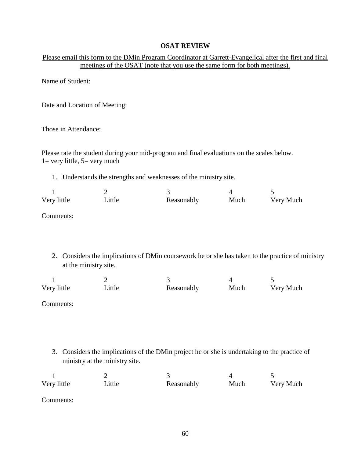#### **OSAT REVIEW**

```
Please email this form to the DMin Program Coordinator at Garrett-Evangelical after the first and final
 meetings of the OSAT (note that you use the same form for both meetings).
```
Name of Student:

Date and Location of Meeting:

Those in Attendance:

Please rate the student during your mid-program and final evaluations on the scales below.  $1=$  very little,  $5=$  very much

1. Understands the strengths and weaknesses of the ministry site.

| Very little | Little | Reasonably | Much | Very Much |
|-------------|--------|------------|------|-----------|

Comments:

2. Considers the implications of DMin coursework he or she has taken to the practice of ministry at the ministry site.

| Very little | Little | Reasonably | Much | Very Much |
|-------------|--------|------------|------|-----------|

Comments:

3. Considers the implications of the DMin project he or she is undertaking to the practice of ministry at the ministry site.

| Very little | Little | Reasonably | Much | Very Much |
|-------------|--------|------------|------|-----------|

Comments: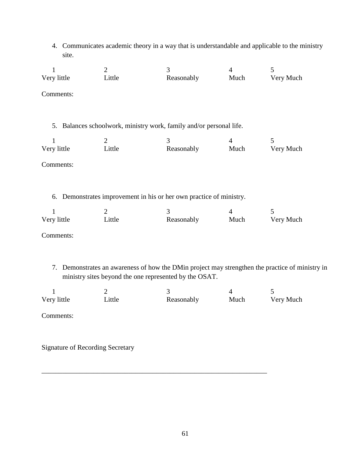4. Communicates academic theory in a way that is understandable and applicable to the ministry site.

| Very little | Little | Reasonably | Much | Very Much |
|-------------|--------|------------|------|-----------|

Comments:

5. Balances schoolwork, ministry work, family and/or personal life.

| Very little | Little | Reasonably | Much | Very Much |
|-------------|--------|------------|------|-----------|

Comments:

6. Demonstrates improvement in his or her own practice of ministry.

| Very little | Little | Reasonably | Much | Very Much |
|-------------|--------|------------|------|-----------|

Comments:

7. Demonstrates an awareness of how the DMin project may strengthen the practice of ministry in ministry sites beyond the one represented by the OSAT.

| Very little | Little | Reasonably | Much | Very Much |
|-------------|--------|------------|------|-----------|

\_\_\_\_\_\_\_\_\_\_\_\_\_\_\_\_\_\_\_\_\_\_\_\_\_\_\_\_\_\_\_\_\_\_\_\_\_\_\_\_\_\_\_\_\_\_\_\_\_\_\_\_\_\_\_\_\_\_\_\_\_\_\_\_\_

Comments:

Signature of Recording Secretary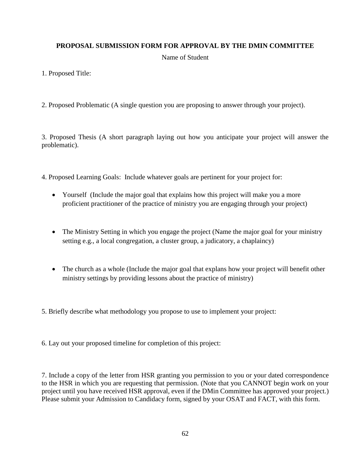# **PROPOSAL SUBMISSION FORM FOR APPROVAL BY THE DMIN COMMITTEE**

Name of Student

1. Proposed Title:

2. Proposed Problematic (A single question you are proposing to answer through your project).

3. Proposed Thesis (A short paragraph laying out how you anticipate your project will answer the problematic).

4. Proposed Learning Goals: Include whatever goals are pertinent for your project for:

- Yourself (Include the major goal that explains how this project will make you a more proficient practitioner of the practice of ministry you are engaging through your project)
- The Ministry Setting in which you engage the project (Name the major goal for your ministry setting e.g., a local congregation, a cluster group, a judicatory, a chaplaincy)
- The church as a whole (Include the major goal that explans how your project will benefit other ministry settings by providing lessons about the practice of ministry)
- 5. Briefly describe what methodology you propose to use to implement your project:
- 6. Lay out your proposed timeline for completion of this project:

7. Include a copy of the letter from HSR granting you permission to you or your dated correspondence to the HSR in which you are requesting that permission. (Note that you CANNOT begin work on your project until you have received HSR approval, even if the DMin Committee has approved your project.) Please submit your Admission to Candidacy form, signed by your OSAT and FACT, with this form.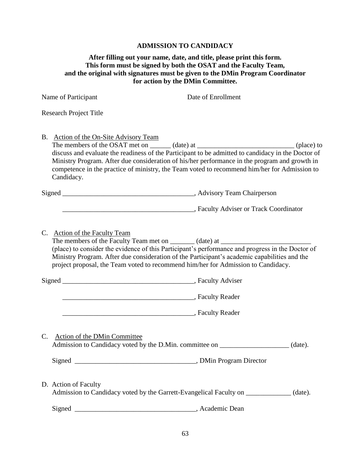# **ADMISSION TO CANDIDACY**

# **After filling out your name, date, and title, please print this form. This form must be signed by both the OSAT and the Faculty Team, and the original with signatures must be given to the DMin Program Coordinator for action by the DMin Committee.**

| Name of Participant                                  | Date of Enrollment                                                                                                                                                                                                                                                                                                                                                                             |
|------------------------------------------------------|------------------------------------------------------------------------------------------------------------------------------------------------------------------------------------------------------------------------------------------------------------------------------------------------------------------------------------------------------------------------------------------------|
| <b>Research Project Title</b>                        |                                                                                                                                                                                                                                                                                                                                                                                                |
| B. Action of the On-Site Advisory Team<br>Candidacy. | The members of the OSAT met on ______ (date) at ____________________________ (place) to<br>discuss and evaluate the readiness of the Participant to be admitted to candidacy in the Doctor of<br>Ministry Program. After due consideration of his/her performance in the program and growth in<br>competence in the practice of ministry, the Team voted to recommend him/her for Admission to |
|                                                      |                                                                                                                                                                                                                                                                                                                                                                                                |
|                                                      | Faculty Adviser or Track Coordinator                                                                                                                                                                                                                                                                                                                                                           |
| C. Action of the Faculty Team                        | The members of the Faculty Team met on _______ (date) at ________________________<br>(place) to consider the evidence of this Participant's performance and progress in the Doctor of<br>Ministry Program. After due consideration of the Participant's academic capabilities and the<br>project proposal, the Team voted to recommend him/her for Admission to Candidacy.                     |
|                                                      | Example 2014 and 2015 Faculty Reader                                                                                                                                                                                                                                                                                                                                                           |
|                                                      | Faculty Reader                                                                                                                                                                                                                                                                                                                                                                                 |
| C. Action of the DMin Committee                      | Admission to Candidacy voted by the D.Min. committee on _______<br>$(data)$ .                                                                                                                                                                                                                                                                                                                  |
| D. Action of Faculty                                 | Admission to Candidacy voted by the Garrett-Evangelical Faculty on ____________ (date).                                                                                                                                                                                                                                                                                                        |
|                                                      |                                                                                                                                                                                                                                                                                                                                                                                                |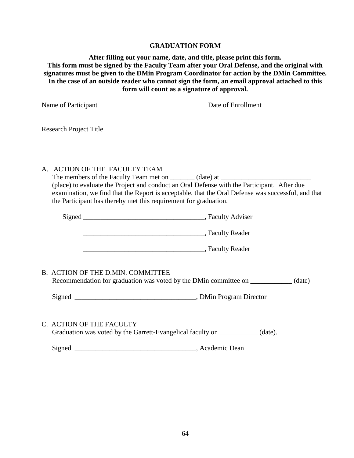#### **GRADUATION FORM**

**After filling out your name, date, and title, please print this form. This form must be signed by the Faculty Team after your Oral Defense, and the original with signatures must be given to the DMin Program Coordinator for action by the DMin Committee. In the case of an outside reader who cannot sign the form, an email approval attached to this form will count as a signature of approval.**

| Name of Participant                                                                                                                                                                                                                                                                                    | Date of Enrollment |
|--------------------------------------------------------------------------------------------------------------------------------------------------------------------------------------------------------------------------------------------------------------------------------------------------------|--------------------|
| <b>Research Project Title</b>                                                                                                                                                                                                                                                                          |                    |
| A. ACTION OF THE FACULTY TEAM<br>(place) to evaluate the Project and conduct an Oral Defense with the Participant. After due<br>examination, we find that the Report is acceptable, that the Oral Defense was successful, and that<br>the Participant has thereby met this requirement for graduation. |                    |
|                                                                                                                                                                                                                                                                                                        |                    |
| Land Communication Communication Communication Communication Communication Communication Communication Communication                                                                                                                                                                                   |                    |
| Land Communication Communication Communication Communication Communication Communication Communication Communication                                                                                                                                                                                   |                    |
| B. ACTION OF THE D.MIN. COMMITTEE<br>Recommendation for graduation was voted by the DMin committee on ____________ (date)                                                                                                                                                                              |                    |
|                                                                                                                                                                                                                                                                                                        |                    |
| C. ACTION OF THE FACULTY<br>Graduation was voted by the Garrett-Evangelical faculty on ___________ (date).                                                                                                                                                                                             |                    |
|                                                                                                                                                                                                                                                                                                        |                    |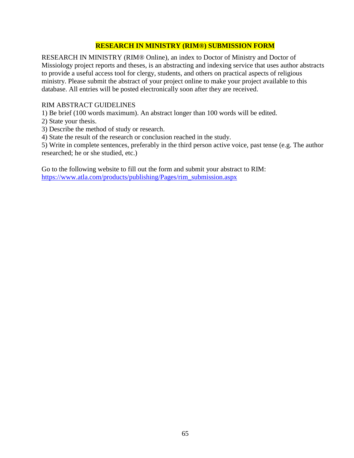# **RESEARCH IN MINISTRY (RIM®) SUBMISSION FORM**

RESEARCH IN MINISTRY (RIM® Online), an index to Doctor of Ministry and Doctor of Missiology project reports and theses, is an abstracting and indexing service that uses author abstracts to provide a useful access tool for clergy, students, and others on practical aspects of religious ministry. Please submit the abstract of your project online to make your project available to this database. All entries will be posted electronically soon after they are received.

#### RIM ABSTRACT GUIDELINES

1) Be brief (100 words maximum). An abstract longer than 100 words will be edited.

2) State your thesis.

3) Describe the method of study or research.

4) State the result of the research or conclusion reached in the study.

5) Write in complete sentences, preferably in the third person active voice, past tense (e.g. The author researched; he or she studied, etc.)

Go to the following website to fill out the form and submit your abstract to RIM: [https://www.atla.com/products/publishing/Pages/rim\\_submission.aspx](https://www.atla.com/products/publishing/Pages/rim_submission.aspx)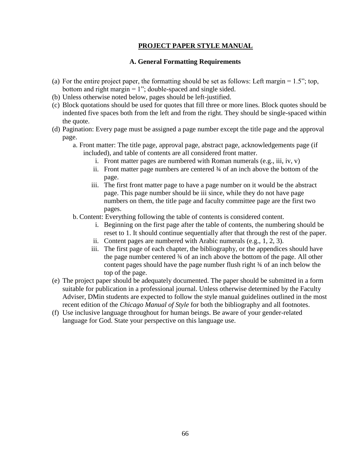# **PROJECT PAPER STYLE MANUAL**

# **A. General Formatting Requirements**

- (a) For the entire project paper, the formatting should be set as follows: Left margin  $= 1.5$ "; top, bottom and right margin  $= 1$ "; double-spaced and single sided.
- (b) Unless otherwise noted below, pages should be left-justified.
- (c) Block quotations should be used for quotes that fill three or more lines. Block quotes should be indented five spaces both from the left and from the right. They should be single-spaced within the quote.
- (d) Pagination: Every page must be assigned a page number except the title page and the approval page.
	- a. Front matter: The title page, approval page, abstract page, acknowledgements page (if included), and table of contents are all considered front matter.
		- i. Front matter pages are numbered with Roman numerals (e.g., iii, iv, v)
		- ii. Front matter page numbers are centered ¾ of an inch above the bottom of the page.
		- iii. The first front matter page to have a page number on it would be the abstract page. This page number should be iii since, while they do not have page numbers on them, the title page and faculty committee page are the first two pages.
	- b. Content: Everything following the table of contents is considered content.
		- i. Beginning on the first page after the table of contents, the numbering should be reset to 1. It should continue sequentially after that through the rest of the paper.
		- ii. Content pages are numbered with Arabic numerals (e.g., 1, 2, 3).
		- iii. The first page of each chapter, the bibliography, or the appendices should have the page number centered ¾ of an inch above the bottom of the page. All other content pages should have the page number flush right ¾ of an inch below the top of the page.
- (e) The project paper should be adequately documented. The paper should be submitted in a form suitable for publication in a professional journal. Unless otherwise determined by the Faculty Adviser, DMin students are expected to follow the style manual guidelines outlined in the most recent edition of the *Chicago Manual of Style* for both the bibliography and all footnotes.
- (f) Use inclusive language throughout for human beings. Be aware of your gender-related language for God. State your perspective on this language use.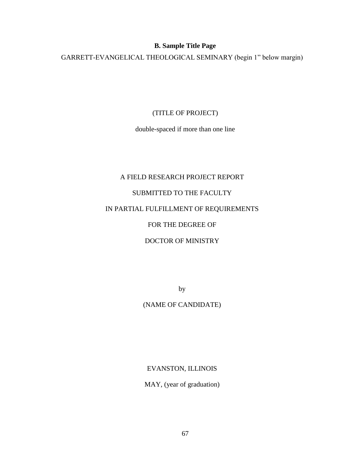# **B. Sample Title Page**

GARRETT-EVANGELICAL THEOLOGICAL SEMINARY (begin 1" below margin)

# (TITLE OF PROJECT)

double-spaced if more than one line

# A FIELD RESEARCH PROJECT REPORT

# SUBMITTED TO THE FACULTY

# IN PARTIAL FULFILLMENT OF REQUIREMENTS

# FOR THE DEGREE OF

# DOCTOR OF MINISTRY

by

# (NAME OF CANDIDATE)

EVANSTON, ILLINOIS

MAY, (year of graduation)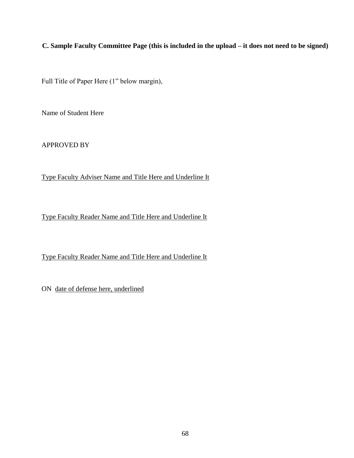# **C. Sample Faculty Committee Page (this is included in the upload – it does not need to be signed)**

Full Title of Paper Here (1" below margin),

Name of Student Here

APPROVED BY

Type Faculty Adviser Name and Title Here and Underline It

Type Faculty Reader Name and Title Here and Underline It

Type Faculty Reader Name and Title Here and Underline It

ON date of defense here, underlined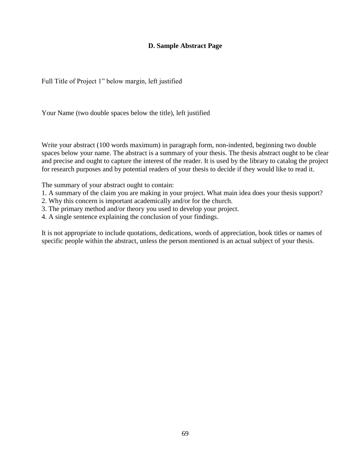# **D. Sample Abstract Page**

Full Title of Project 1" below margin, left justified

Your Name (two double spaces below the title), left justified

Write your abstract (100 words maximum) in paragraph form, non-indented, beginning two double spaces below your name. The abstract is a summary of your thesis. The thesis abstract ought to be clear and precise and ought to capture the interest of the reader. It is used by the library to catalog the project for research purposes and by potential readers of your thesis to decide if they would like to read it.

The summary of your abstract ought to contain:

- 1. A summary of the claim you are making in your project. What main idea does your thesis support?
- 2. Why this concern is important academically and/or for the church.
- 3. The primary method and/or theory you used to develop your project.
- 4. A single sentence explaining the conclusion of your findings.

It is not appropriate to include quotations, dedications, words of appreciation, book titles or names of specific people within the abstract, unless the person mentioned is an actual subject of your thesis.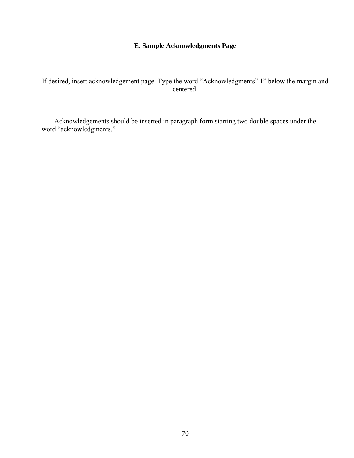# **E. Sample Acknowledgments Page**

If desired, insert acknowledgement page. Type the word "Acknowledgments" 1" below the margin and centered.

Acknowledgements should be inserted in paragraph form starting two double spaces under the word "acknowledgments."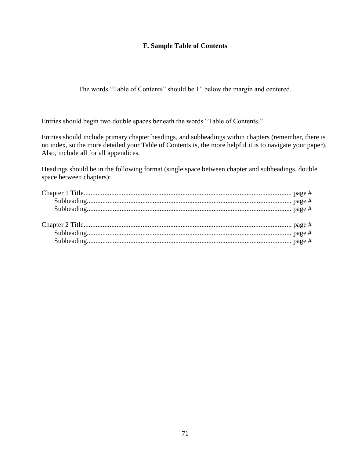# **F. Sample Table of Contents**

The words "Table of Contents" should be 1" below the margin and centered.

Entries should begin two double spaces beneath the words "Table of Contents."

Entries should include primary chapter headings, and subheadings within chapters (remember, there is no index, so the more detailed your Table of Contents is, the more helpful it is to navigate your paper). Also, include all for all appendices.

Headings should be in the following format (single space between chapter and subheadings, double space between chapters):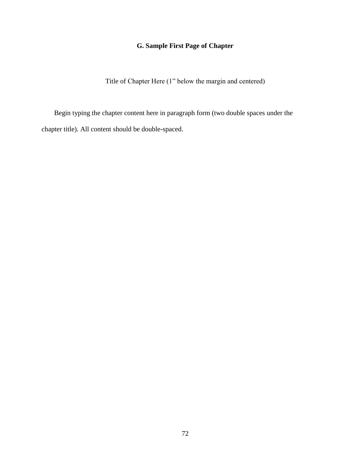# **G. Sample First Page of Chapter**

Title of Chapter Here (1" below the margin and centered)

Begin typing the chapter content here in paragraph form (two double spaces under the chapter title). All content should be double-spaced.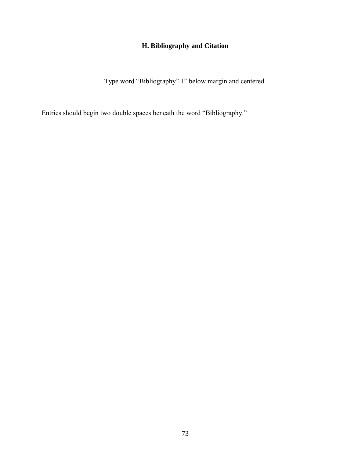# **H. Bibliography and Citation**

Type word "Bibliography" 1" below margin and centered.

Entries should begin two double spaces beneath the word "Bibliography."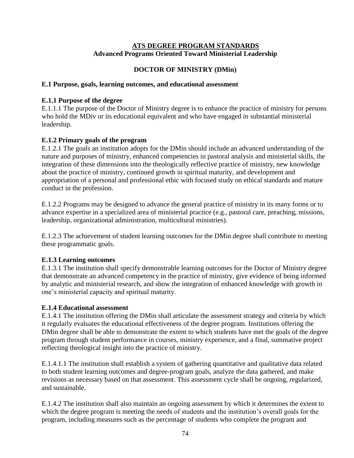#### **ATS DEGREE PROGRAM STANDARDS Advanced Programs Oriented Toward Ministerial Leadership**

## **DOCTOR OF MINISTRY (DMin)**

#### **E.1 Purpose, goals, learning outcomes, and educational assessment**

#### **E.1.1 Purpose of the degree**

E.1.1.1 The purpose of the Doctor of Ministry degree is to enhance the practice of ministry for persons who hold the MDiv or its educational equivalent and who have engaged in substantial ministerial leadership.

## **E.1.2 Primary goals of the program**

E.1.2.1 The goals an institution adopts for the DMin should include an advanced understanding of the nature and purposes of ministry, enhanced competencies in pastoral analysis and ministerial skills, the integration of these dimensions into the theologically reflective practice of ministry, new knowledge about the practice of ministry, continued growth in spiritual maturity, and development and appropriation of a personal and professional ethic with focused study on ethical standards and mature conduct in the profession.

E.1.2.2 Programs may be designed to advance the general practice of ministry in its many forms or to advance expertise in a specialized area of ministerial practice (e.g., pastoral care, preaching, missions, leadership, organizational administration, multicultural ministries).

E.1.2.3 The achievement of student learning outcomes for the DMin degree shall contribute to meeting these programmatic goals.

#### **E.1.3 Learning outcomes**

E.1.3.1 The institution shall specify demonstrable learning outcomes for the Doctor of Ministry degree that demonstrate an advanced competency in the practice of ministry, give evidence of being informed by analytic and ministerial research, and show the integration of enhanced knowledge with growth in one's ministerial capacity and spiritual maturity.

#### **E.1.4 Educational assessment**

E.1.4.1 The institution offering the DMin shall articulate the assessment strategy and criteria by which it regularly evaluates the educational effectiveness of the degree program. Institutions offering the DMin degree shall be able to demonstrate the extent to which students have met the goals of the degree program through student performance in courses, ministry experience, and a final, summative project reflecting theological insight into the practice of ministry.

E.1.4.1.1 The institution shall establish a system of gathering quantitative and qualitative data related to both student learning outcomes and degree-program goals, analyze the data gathered, and make revisions as necessary based on that assessment. This assessment cycle shall be ongoing, regularized, and sustainable.

E.1.4.2 The institution shall also maintain an ongoing assessment by which it determines the extent to which the degree program is meeting the needs of students and the institution's overall goals for the program, including measures such as the percentage of students who complete the program and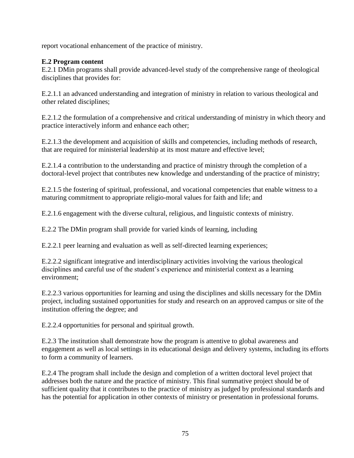report vocational enhancement of the practice of ministry.

#### **E.2 Program content**

E.2.1 DMin programs shall provide advanced-level study of the comprehensive range of theological disciplines that provides for:

E.2.1.1 an advanced understanding and integration of ministry in relation to various theological and other related disciplines;

E.2.1.2 the formulation of a comprehensive and critical understanding of ministry in which theory and practice interactively inform and enhance each other;

E.2.1.3 the development and acquisition of skills and competencies, including methods of research, that are required for ministerial leadership at its most mature and effective level;

E.2.1.4 a contribution to the understanding and practice of ministry through the completion of a doctoral-level project that contributes new knowledge and understanding of the practice of ministry;

E.2.1.5 the fostering of spiritual, professional, and vocational competencies that enable witness to a maturing commitment to appropriate religio-moral values for faith and life; and

E.2.1.6 engagement with the diverse cultural, religious, and linguistic contexts of ministry.

E.2.2 The DMin program shall provide for varied kinds of learning, including

E.2.2.1 peer learning and evaluation as well as self-directed learning experiences;

E.2.2.2 significant integrative and interdisciplinary activities involving the various theological disciplines and careful use of the student's experience and ministerial context as a learning environment;

E.2.2.3 various opportunities for learning and using the disciplines and skills necessary for the DMin project, including sustained opportunities for study and research on an approved campus or site of the institution offering the degree; and

E.2.2.4 opportunities for personal and spiritual growth.

E.2.3 The institution shall demonstrate how the program is attentive to global awareness and engagement as well as local settings in its educational design and delivery systems, including its efforts to form a community of learners.

E.2.4 The program shall include the design and completion of a written doctoral level project that addresses both the nature and the practice of ministry. This final summative project should be of sufficient quality that it contributes to the practice of ministry as judged by professional standards and has the potential for application in other contexts of ministry or presentation in professional forums.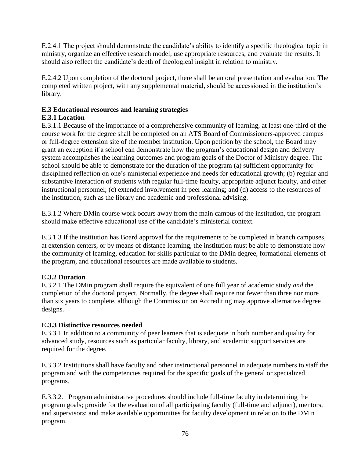E.2.4.1 The project should demonstrate the candidate's ability to identify a specific theological topic in ministry, organize an effective research model, use appropriate resources, and evaluate the results. It should also reflect the candidate's depth of theological insight in relation to ministry.

E.2.4.2 Upon completion of the doctoral project, there shall be an oral presentation and evaluation. The completed written project, with any supplemental material, should be accessioned in the institution's library.

## **E.3 Educational resources and learning strategies**

## **E.3.1 Location**

E.3.1.1 Because of the importance of a comprehensive community of learning, at least one-third of the course work for the degree shall be completed on an ATS Board of Commissioners-approved campus or full-degree extension site of the member institution. Upon petition by the school, the Board may grant an exception if a school can demonstrate how the program's educational design and delivery system accomplishes the learning outcomes and program goals of the Doctor of Ministry degree. The school should be able to demonstrate for the duration of the program (a) sufficient opportunity for disciplined reflection on one's ministerial experience and needs for educational growth; (b) regular and substantive interaction of students with regular full-time faculty, appropriate adjunct faculty, and other instructional personnel; (c) extended involvement in peer learning; and (d) access to the resources of the institution, such as the library and academic and professional advising.

E.3.1.2 Where DMin course work occurs away from the main campus of the institution, the program should make effective educational use of the candidate's ministerial context.

E.3.1.3 If the institution has Board approval for the requirements to be completed in branch campuses, at extension centers, or by means of distance learning, the institution must be able to demonstrate how the community of learning, education for skills particular to the DMin degree, formational elements of the program, and educational resources are made available to students.

## **E.3.2 Duration**

E.3.2.1 The DMin program shall require the equivalent of one full year of academic study *and* the completion of the doctoral project. Normally, the degree shall require not fewer than three nor more than six years to complete, although the Commission on Accrediting may approve alternative degree designs.

## **E.3.3 Distinctive resources needed**

E.3.3.1 In addition to a community of peer learners that is adequate in both number and quality for advanced study, resources such as particular faculty, library, and academic support services are required for the degree.

E.3.3.2 Institutions shall have faculty and other instructional personnel in adequate numbers to staff the program and with the competencies required for the specific goals of the general or specialized programs.

E.3.3.2.1 Program administrative procedures should include full-time faculty in determining the program goals; provide for the evaluation of all participating faculty (full-time and adjunct), mentors, and supervisors; and make available opportunities for faculty development in relation to the DMin program.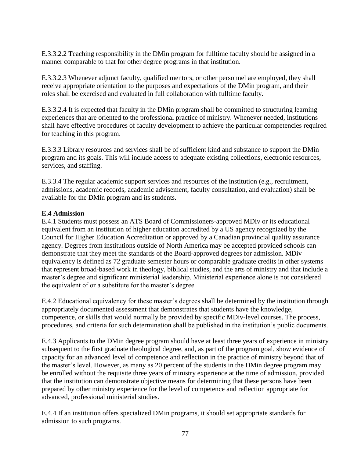E.3.3.2.2 Teaching responsibility in the DMin program for fulltime faculty should be assigned in a manner comparable to that for other degree programs in that institution.

E.3.3.2.3 Whenever adjunct faculty, qualified mentors, or other personnel are employed, they shall receive appropriate orientation to the purposes and expectations of the DMin program, and their roles shall be exercised and evaluated in full collaboration with fulltime faculty.

E.3.3.2.4 It is expected that faculty in the DMin program shall be committed to structuring learning experiences that are oriented to the professional practice of ministry. Whenever needed, institutions shall have effective procedures of faculty development to achieve the particular competencies required for teaching in this program.

E.3.3.3 Library resources and services shall be of sufficient kind and substance to support the DMin program and its goals. This will include access to adequate existing collections, electronic resources, services, and staffing.

E.3.3.4 The regular academic support services and resources of the institution (e.g., recruitment, admissions, academic records, academic advisement, faculty consultation, and evaluation) shall be available for the DMin program and its students.

## **E.4 Admission**

E.4.1 Students must possess an ATS Board of Commissioners-approved MDiv or its educational equivalent from an institution of higher education accredited by a US agency recognized by the Council for Higher Education Accreditation or approved by a Canadian provincial quality assurance agency. Degrees from institutions outside of North America may be accepted provided schools can demonstrate that they meet the standards of the Board-approved degrees for admission. MDiv equivalency is defined as 72 graduate semester hours or comparable graduate credits in other systems that represent broad-based work in theology, biblical studies, and the arts of ministry and that include a master's degree and significant ministerial leadership. Ministerial experience alone is not considered the equivalent of or a substitute for the master's degree.

E.4.2 Educational equivalency for these master's degrees shall be determined by the institution through appropriately documented assessment that demonstrates that students have the knowledge, competence, or skills that would normally be provided by specific MDiv-level courses. The process, procedures, and criteria for such determination shall be published in the institution's public documents.

E.4.3 Applicants to the DMin degree program should have at least three years of experience in ministry subsequent to the first graduate theological degree, and, as part of the program goal, show evidence of capacity for an advanced level of competence and reflection in the practice of ministry beyond that of the master's level. However, as many as 20 percent of the students in the DMin degree program may be enrolled without the requisite three years of ministry experience at the time of admission, provided that the institution can demonstrate objective means for determining that these persons have been prepared by other ministry experience for the level of competence and reflection appropriate for advanced, professional ministerial studies.

E.4.4 If an institution offers specialized DMin programs, it should set appropriate standards for admission to such programs.